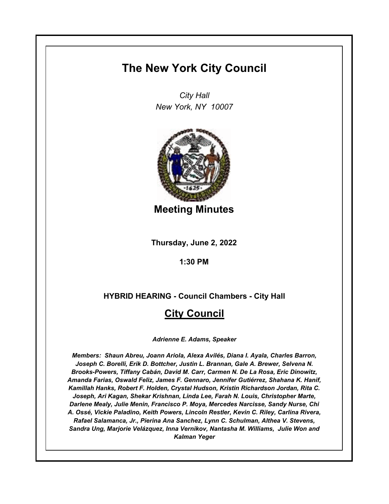# **The New York City Council**

*City Hall New York, NY 10007*



**Meeting Minutes**

**Thursday, June 2, 2022**

**1:30 PM**

**HYBRID HEARING - Council Chambers - City Hall**

## **City Council**

*Adrienne E. Adams, Speaker*

*Members: Shaun Abreu, Joann Ariola, Alexa Avilés, Diana I. Ayala, Charles Barron, Joseph C. Borelli, Erik D. Bottcher, Justin L. Brannan, Gale A. Brewer, Selvena N. Brooks-Powers, Tiffany Cabán, David M. Carr, Carmen N. De La Rosa, Eric Dinowitz, Amanda Farias, Oswald Feliz, James F. Gennaro, Jennifer Gutiérrez, Shahana K. Hanif, Kamillah Hanks, Robert F. Holden, Crystal Hudson, Kristin Richardson Jordan, Rita C. Joseph, Ari Kagan, Shekar Krishnan, Linda Lee, Farah N. Louis, Christopher Marte, Darlene Mealy, Julie Menin, Francisco P. Moya, Mercedes Narcisse, Sandy Nurse, Chi A. Ossé, Vickie Paladino, Keith Powers, Lincoln Restler, Kevin C. Riley, Carlina Rivera, Rafael Salamanca, Jr., Pierina Ana Sanchez, Lynn C. Schulman, Althea V. Stevens, Sandra Ung, Marjorie Velázquez, Inna Vernikov, Nantasha M. Williams, Julie Won and Kalman Yeger*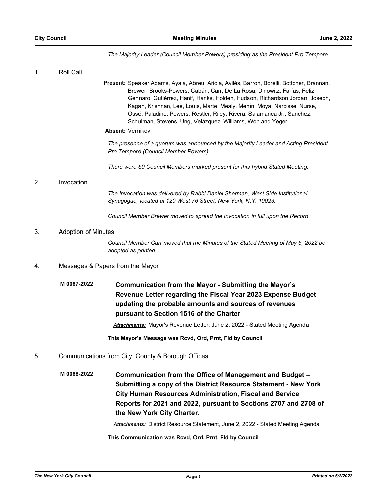*The Majority Leader (Council Member Powers) presiding as the President Pro Tempore.*

| 1. | Roll Call                  |                                                                                                                                                                                                                                                                                                                                                                                                                                                                                                       |
|----|----------------------------|-------------------------------------------------------------------------------------------------------------------------------------------------------------------------------------------------------------------------------------------------------------------------------------------------------------------------------------------------------------------------------------------------------------------------------------------------------------------------------------------------------|
|    |                            | Present: Speaker Adams, Ayala, Abreu, Ariola, Avilés, Barron, Borelli, Bottcher, Brannan,<br>Brewer, Brooks-Powers, Cabán, Carr, De La Rosa, Dinowitz, Farías, Feliz,<br>Gennaro, Gutiérrez, Hanif, Hanks, Holden, Hudson, Richardson Jordan, Joseph,<br>Kagan, Krishnan, Lee, Louis, Marte, Mealy, Menin, Moya, Narcisse, Nurse,<br>Ossé, Paladino, Powers, Restler, Riley, Rivera, Salamanca Jr., Sanchez,<br>Schulman, Stevens, Ung, Velázquez, Williams, Won and Yeger<br><b>Absent: Vernikov</b> |
|    |                            | The presence of a quorum was announced by the Majority Leader and Acting President<br>Pro Tempore (Council Member Powers).                                                                                                                                                                                                                                                                                                                                                                            |
|    |                            | There were 50 Council Members marked present for this hybrid Stated Meeting.                                                                                                                                                                                                                                                                                                                                                                                                                          |
| 2. | Invocation                 |                                                                                                                                                                                                                                                                                                                                                                                                                                                                                                       |
|    |                            | The Invocation was delivered by Rabbi Daniel Sherman, West Side Institutional<br>Synagogue, located at 120 West 76 Street, New York, N.Y. 10023.                                                                                                                                                                                                                                                                                                                                                      |
|    |                            | Council Member Brewer moved to spread the Invocation in full upon the Record.                                                                                                                                                                                                                                                                                                                                                                                                                         |
| 3. | <b>Adoption of Minutes</b> |                                                                                                                                                                                                                                                                                                                                                                                                                                                                                                       |
|    |                            | Council Member Carr moved that the Minutes of the Stated Meeting of May 5, 2022 be<br>adopted as printed.                                                                                                                                                                                                                                                                                                                                                                                             |
| 4. |                            | Messages & Papers from the Mayor                                                                                                                                                                                                                                                                                                                                                                                                                                                                      |
|    | M 0067-2022                | <b>Communication from the Mayor - Submitting the Mayor's</b><br>Revenue Letter regarding the Fiscal Year 2023 Expense Budget<br>updating the probable amounts and sources of revenues<br>pursuant to Section 1516 of the Charter<br><u> Attachments:</u> Mayor's Revenue Letter, June 2, 2022 - Stated Meeting Agenda                                                                                                                                                                                 |
|    |                            | This Mayor's Message was Rcvd, Ord, Prnt, Fld by Council                                                                                                                                                                                                                                                                                                                                                                                                                                              |
| 5. |                            | Communications from City, County & Borough Offices                                                                                                                                                                                                                                                                                                                                                                                                                                                    |
|    | M 0068-2022                | Communication from the Office of Management and Budget -<br>Submitting a copy of the District Resource Statement - New York<br><b>City Human Resources Administration, Fiscal and Service</b>                                                                                                                                                                                                                                                                                                         |

*Attachments:* District Resource Statement, June 2, 2022 - Stated Meeting Agenda

**Reports for 2021 and 2022, pursuant to Sections 2707 and 2708 of** 

**This Communication was Rcvd, Ord, Prnt, Fld by Council**

**the New York City Charter.**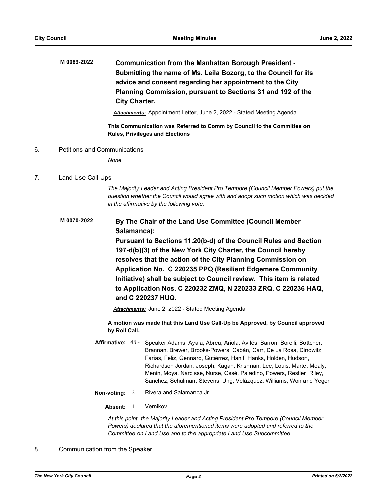**Communication from the Manhattan Borough President - Submitting the name of Ms. Leila Bozorg, to the Council for its advice and consent regarding her appointment to the City Planning Commission, pursuant to Sections 31 and 192 of the City Charter. M 0069-2022**

*Attachments:* Appointment Letter, June 2, 2022 - Stated Meeting Agenda

**This Communication was Referred to Comm by Council to the Committee on Rules, Privileges and Elections**

6. Petitions and Communications

*None.*

## 7. Land Use Call-Ups

*The Majority Leader and Acting President Pro Tempore (Council Member Powers) put the question whether the Council would agree with and adopt such motion which was decided in the affirmative by the following vote:*

**By The Chair of the Land Use Committee (Council Member Salamanca): M 0070-2022**

**Pursuant to Sections 11.20(b-d) of the Council Rules and Section 197-d(b)(3) of the New York City Charter, the Council hereby resolves that the action of the City Planning Commission on Application No. C 220235 PPQ (Resilient Edgemere Community Initiative) shall be subject to Council review. This item is related to Application Nos. C 220232 ZMQ, N 220233 ZRQ, C 220236 HAQ, and C 220237 HUQ.**

*Attachments:* June 2, 2022 - Stated Meeting Agenda

**A motion was made that this Land Use Call-Up be Approved, by Council approved by Roll Call.**

- Affirmative: 48 Speaker Adams, Ayala, Abreu, Ariola, Avilés, Barron, Borelli, Bottcher, Brannan, Brewer, Brooks-Powers, Cabán, Carr, De La Rosa, Dinowitz, Farías, Feliz, Gennaro, Gutiérrez, Hanif, Hanks, Holden, Hudson, Richardson Jordan, Joseph, Kagan, Krishnan, Lee, Louis, Marte, Mealy, Menin, Moya, Narcisse, Nurse, Ossé, Paladino, Powers, Restler, Riley, Sanchez, Schulman, Stevens, Ung, Velázquez, Williams, Won and Yeger
- **Non-voting:** 2 Rivera and Salamanca Jr.
	- Absent: 1 Vernikov

*At this point, the Majority Leader and Acting President Pro Tempore (Council Member Powers) declared that the aforementioned items were adopted and referred to the Committee on Land Use and to the appropriate Land Use Subcommittee.*

### 8. Communication from the Speaker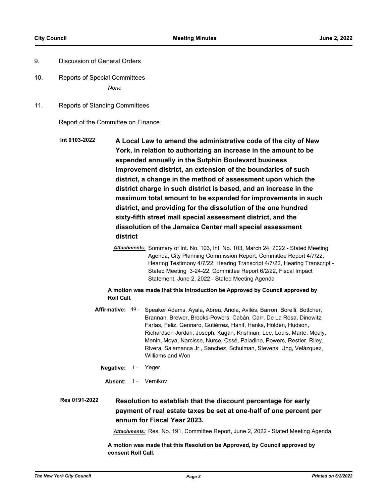- 9. Discussion of General Orders
- 10. Reports of Special Committees *None*
- 11. Reports of Standing Committees

Report of the Committee on Finance

- **A Local Law to amend the administrative code of the city of New York, in relation to authorizing an increase in the amount to be expended annually in the Sutphin Boulevard business improvement district, an extension of the boundaries of such district, a change in the method of assessment upon which the district charge in such district is based, and an increase in the maximum total amount to be expended for improvements in such district, and providing for the dissolution of the one hundred sixty-fifth street mall special assessment district, and the dissolution of the Jamaica Center mall special assessment district Int 0103-2022**
	- *Attachments:* Summary of Int. No. 103, Int. No. 103, March 24, 2022 Stated Meeting Agenda, City Planning Commission Report, Committee Report 4/7/22, Hearing Testimony 4/7/22, Hearing Transcript 4/7/22, Hearing Transcript - Stated Meeting 3-24-22, Committee Report 6/2/22, Fiscal Impact Statement, June 2, 2022 - Stated Meeting Agenda

#### **A motion was made that this Introduction be Approved by Council approved by Roll Call.**

- Affirmative: 49 Speaker Adams, Ayala, Abreu, Ariola, Avilés, Barron, Borelli, Bottcher, Brannan, Brewer, Brooks-Powers, Cabán, Carr, De La Rosa, Dinowitz, Farías, Feliz, Gennaro, Gutiérrez, Hanif, Hanks, Holden, Hudson, Richardson Jordan, Joseph, Kagan, Krishnan, Lee, Louis, Marte, Mealy, Menin, Moya, Narcisse, Nurse, Ossé, Paladino, Powers, Restler, Riley, Rivera, Salamanca Jr., Sanchez, Schulman, Stevens, Ung, Velázquez, Williams and Won
	- **Negative:** 1 Yeger
		- Absent: 1 Vernikov

#### **Resolution to establish that the discount percentage for early payment of real estate taxes be set at one-half of one percent per annum for Fiscal Year 2023. Res 0191-2022**

*Attachments:* Res. No. 191, Committee Report, June 2, 2022 - Stated Meeting Agenda

**A motion was made that this Resolution be Approved, by Council approved by consent Roll Call.**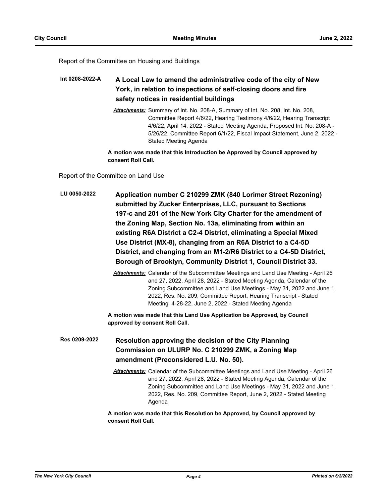Report of the Committee on Housing and Buildings

#### **A Local Law to amend the administrative code of the city of New York, in relation to inspections of self-closing doors and fire safety notices in residential buildings Int 0208-2022-A**

*Attachments:* Summary of Int. No. 208-A, Summary of Int. No. 208, Int. No. 208, Committee Report 4/6/22, Hearing Testimony 4/6/22, Hearing Transcript 4/6/22, April 14, 2022 - Stated Meeting Agenda, Proposed Int. No. 208-A - 5/26/22, Committee Report 6/1/22, Fiscal Impact Statement, June 2, 2022 - Stated Meeting Agenda

**A motion was made that this Introduction be Approved by Council approved by consent Roll Call.**

Report of the Committee on Land Use

**Application number C 210299 ZMK (840 Lorimer Street Rezoning) submitted by Zucker Enterprises, LLC, pursuant to Sections 197-c and 201 of the New York City Charter for the amendment of the Zoning Map, Section No. 13a, eliminating from within an existing R6A District a C2-4 District, eliminating a Special Mixed Use District (MX-8), changing from an R6A District to a C4-5D District, and changing from an M1-2/R6 District to a C4-5D District, Borough of Brooklyn, Community District 1, Council District 33. LU 0050-2022**

> *Attachments:* Calendar of the Subcommittee Meetings and Land Use Meeting - April 26 and 27, 2022, April 28, 2022 - Stated Meeting Agenda, Calendar of the Zoning Subcommittee and Land Use Meetings - May 31, 2022 and June 1, 2022, Res. No. 209, Committee Report, Hearing Transcript - Stated Meeting 4-28-22, June 2, 2022 - Stated Meeting Agenda

**A motion was made that this Land Use Application be Approved, by Council approved by consent Roll Call.**

**Resolution approving the decision of the City Planning Commission on ULURP No. C 210299 ZMK, a Zoning Map amendment (Preconsidered L.U. No. 50). Res 0209-2022**

> *Attachments:* Calendar of the Subcommittee Meetings and Land Use Meeting - April 26 and 27, 2022, April 28, 2022 - Stated Meeting Agenda, Calendar of the Zoning Subcommittee and Land Use Meetings - May 31, 2022 and June 1, 2022, Res. No. 209, Committee Report, June 2, 2022 - Stated Meeting Agenda

**A motion was made that this Resolution be Approved, by Council approved by consent Roll Call.**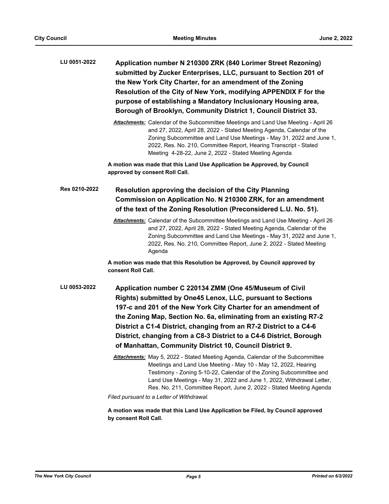| LU 0051-2022  | Application number N 210300 ZRK (840 Lorimer Street Rezoning)<br>submitted by Zucker Enterprises, LLC, pursuant to Section 201 of<br>the New York City Charter, for an amendment of the Zoning<br>Resolution of the City of New York, modifying APPENDIX F for the<br>purpose of establishing a Mandatory Inclusionary Housing area,<br>Borough of Brooklyn, Community District 1, Council District 33.                                                                                                                                                                                                                                                                                                                                                                                                                                                                                                |
|---------------|--------------------------------------------------------------------------------------------------------------------------------------------------------------------------------------------------------------------------------------------------------------------------------------------------------------------------------------------------------------------------------------------------------------------------------------------------------------------------------------------------------------------------------------------------------------------------------------------------------------------------------------------------------------------------------------------------------------------------------------------------------------------------------------------------------------------------------------------------------------------------------------------------------|
|               | Attachments: Calendar of the Subcommittee Meetings and Land Use Meeting - April 26<br>and 27, 2022, April 28, 2022 - Stated Meeting Agenda, Calendar of the<br>Zoning Subcommittee and Land Use Meetings - May 31, 2022 and June 1,<br>2022, Res. No. 210, Committee Report, Hearing Transcript - Stated<br>Meeting 4-28-22, June 2, 2022 - Stated Meeting Agenda                                                                                                                                                                                                                                                                                                                                                                                                                                                                                                                                      |
|               | A motion was made that this Land Use Application be Approved, by Council<br>approved by consent Roll Call.                                                                                                                                                                                                                                                                                                                                                                                                                                                                                                                                                                                                                                                                                                                                                                                             |
| Res 0210-2022 | Resolution approving the decision of the City Planning<br>Commission on Application No. N 210300 ZRK, for an amendment<br>of the text of the Zoning Resolution (Preconsidered L.U. No. 51).                                                                                                                                                                                                                                                                                                                                                                                                                                                                                                                                                                                                                                                                                                            |
|               | Attachments: Calendar of the Subcommittee Meetings and Land Use Meeting - April 26<br>and 27, 2022, April 28, 2022 - Stated Meeting Agenda, Calendar of the<br>Zoning Subcommittee and Land Use Meetings - May 31, 2022 and June 1,<br>2022, Res. No. 210, Committee Report, June 2, 2022 - Stated Meeting<br>Agenda                                                                                                                                                                                                                                                                                                                                                                                                                                                                                                                                                                                   |
|               | A motion was made that this Resolution be Approved, by Council approved by<br>consent Roll Call.                                                                                                                                                                                                                                                                                                                                                                                                                                                                                                                                                                                                                                                                                                                                                                                                       |
| LU 0053-2022  | Application number C 220134 ZMM (One 45/Museum of Civil<br>Rights) submitted by One45 Lenox, LLC, pursuant to Sections<br>197-c and 201 of the New York City Charter for an amendment of<br>the Zoning Map, Section No. 6a, eliminating from an existing R7-2<br>District a C1-4 District, changing from an R7-2 District to a C4-6<br>District, changing from a C8-3 District to a C4-6 District, Borough<br>of Manhattan, Community District 10, Council District 9.<br><b>Attachments:</b> May 5, 2022 - Stated Meeting Agenda, Calendar of the Subcommittee<br>Meetings and Land Use Meeting - May 10 - May 12, 2022, Hearing<br>Testimony - Zoning 5-10-22, Calendar of the Zoning Subcommittee and<br>Land Use Meetings - May 31, 2022 and June 1, 2022, Withdrawal Letter,<br>Res. No. 211, Committee Report, June 2, 2022 - Stated Meeting Agenda<br>Filed pursuant to a Letter of Withdrawal. |
|               |                                                                                                                                                                                                                                                                                                                                                                                                                                                                                                                                                                                                                                                                                                                                                                                                                                                                                                        |

**A motion was made that this Land Use Application be Filed, by Council approved by consent Roll Call.**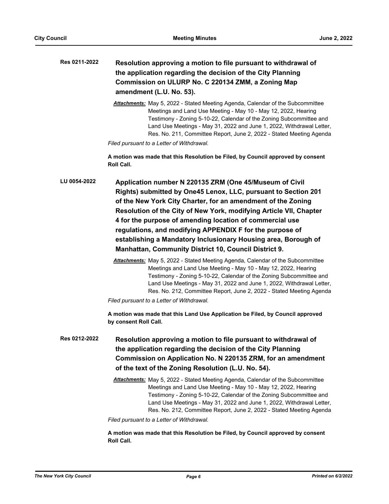| Res 0211-2022 | Resolution approving a motion to file pursuant to withdrawal of |
|---------------|-----------------------------------------------------------------|
|               | the application regarding the decision of the City Planning     |
|               | Commission on ULURP No. C 220134 ZMM, a Zoning Map              |
|               | amendment (L.U. No. 53).                                        |

*Attachments:* May 5, 2022 - Stated Meeting Agenda, Calendar of the Subcommittee Meetings and Land Use Meeting - May 10 - May 12, 2022, Hearing Testimony - Zoning 5-10-22, Calendar of the Zoning Subcommittee and Land Use Meetings - May 31, 2022 and June 1, 2022, Withdrawal Letter, Res. No. 211, Committee Report, June 2, 2022 - Stated Meeting Agenda

*Filed pursuant to a Letter of Withdrawal.*

**A motion was made that this Resolution be Filed, by Council approved by consent Roll Call.**

**Application number N 220135 ZRM (One 45/Museum of Civil Rights) submitted by One45 Lenox, LLC, pursuant to Section 201 of the New York City Charter, for an amendment of the Zoning Resolution of the City of New York, modifying Article VII, Chapter 4 for the purpose of amending location of commercial use regulations, and modifying APPENDIX F for the purpose of establishing a Mandatory Inclusionary Housing area, Borough of Manhattan, Community District 10, Council District 9. LU 0054-2022**

> *Attachments:* May 5, 2022 - Stated Meeting Agenda, Calendar of the Subcommittee Meetings and Land Use Meeting - May 10 - May 12, 2022, Hearing Testimony - Zoning 5-10-22, Calendar of the Zoning Subcommittee and Land Use Meetings - May 31, 2022 and June 1, 2022, Withdrawal Letter, Res. No. 212, Committee Report, June 2, 2022 - Stated Meeting Agenda

*Filed pursuant to a Letter of Withdrawal.*

**A motion was made that this Land Use Application be Filed, by Council approved by consent Roll Call.**

- **Resolution approving a motion to file pursuant to withdrawal of the application regarding the decision of the City Planning Commission on Application No. N 220135 ZRM, for an amendment of the text of the Zoning Resolution (L.U. No. 54). Res 0212-2022**
	- *Attachments:* May 5, 2022 Stated Meeting Agenda, Calendar of the Subcommittee Meetings and Land Use Meeting - May 10 - May 12, 2022, Hearing Testimony - Zoning 5-10-22, Calendar of the Zoning Subcommittee and Land Use Meetings - May 31, 2022 and June 1, 2022, Withdrawal Letter, Res. No. 212, Committee Report, June 2, 2022 - Stated Meeting Agenda

*Filed pursuant to a Letter of Withdrawal.*

**A motion was made that this Resolution be Filed, by Council approved by consent Roll Call.**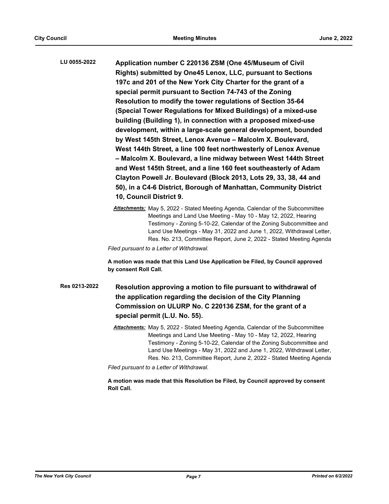**Application number C 220136 ZSM (One 45/Museum of Civil Rights) submitted by One45 Lenox, LLC, pursuant to Sections 197c and 201 of the New York City Charter for the grant of a special permit pursuant to Section 74-743 of the Zoning Resolution to modify the tower regulations of Section 35-64 (Special Tower Regulations for Mixed Buildings) of a mixed-use building (Building 1), in connection with a proposed mixed-use development, within a large-scale general development, bounded by West 145th Street, Lenox Avenue – Malcolm X. Boulevard, West 144th Street, a line 100 feet northwesterly of Lenox Avenue – Malcolm X. Boulevard, a line midway between West 144th Street and West 145th Street, and a line 160 feet southeasterly of Adam Clayton Powell Jr. Boulevard (Block 2013, Lots 29, 33, 38, 44 and 50), in a C4-6 District, Borough of Manhattan, Community District 10, Council District 9. LU 0055-2022**

> *Attachments:* May 5, 2022 - Stated Meeting Agenda, Calendar of the Subcommittee Meetings and Land Use Meeting - May 10 - May 12, 2022, Hearing Testimony - Zoning 5-10-22, Calendar of the Zoning Subcommittee and Land Use Meetings - May 31, 2022 and June 1, 2022, Withdrawal Letter, Res. No. 213, Committee Report, June 2, 2022 - Stated Meeting Agenda

*Filed pursuant to a Letter of Withdrawal.*

**A motion was made that this Land Use Application be Filed, by Council approved by consent Roll Call.**

**Resolution approving a motion to file pursuant to withdrawal of the application regarding the decision of the City Planning Commission on ULURP No. C 220136 ZSM, for the grant of a special permit (L.U. No. 55). Res 0213-2022**

> *Attachments:* May 5, 2022 - Stated Meeting Agenda, Calendar of the Subcommittee Meetings and Land Use Meeting - May 10 - May 12, 2022, Hearing Testimony - Zoning 5-10-22, Calendar of the Zoning Subcommittee and Land Use Meetings - May 31, 2022 and June 1, 2022, Withdrawal Letter, Res. No. 213, Committee Report, June 2, 2022 - Stated Meeting Agenda

*Filed pursuant to a Letter of Withdrawal.*

**A motion was made that this Resolution be Filed, by Council approved by consent Roll Call.**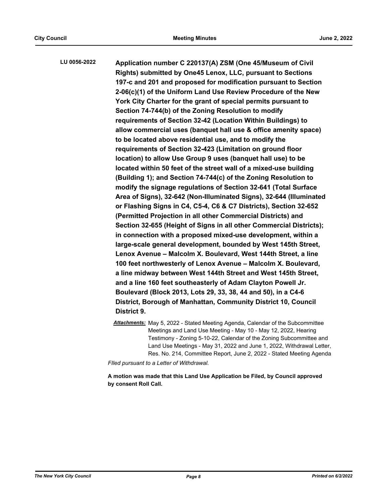**Application number C 220137(A) ZSM (One 45/Museum of Civil Rights) submitted by One45 Lenox, LLC, pursuant to Sections 197-c and 201 and proposed for modification pursuant to Section 2-06(c)(1) of the Uniform Land Use Review Procedure of the New York City Charter for the grant of special permits pursuant to Section 74-744(b) of the Zoning Resolution to modify requirements of Section 32-42 (Location Within Buildings) to allow commercial uses (banquet hall use & office amenity space) to be located above residential use, and to modify the requirements of Section 32-423 (Limitation on ground floor location) to allow Use Group 9 uses (banquet hall use) to be located within 50 feet of the street wall of a mixed-use building (Building 1); and Section 74-744(c) of the Zoning Resolution to modify the signage regulations of Section 32-641 (Total Surface Area of Signs), 32-642 (Non-Illuminated Signs), 32-644 (Illuminated or Flashing Signs in C4, C5-4, C6 & C7 Districts), Section 32-652 (Permitted Projection in all other Commercial Districts) and Section 32-655 (Height of Signs in all other Commercial Districts); in connection with a proposed mixed-use development, within a large-scale general development, bounded by West 145th Street, Lenox Avenue – Malcolm X. Boulevard, West 144th Street, a line 100 feet northwesterly of Lenox Avenue – Malcolm X. Boulevard, a line midway between West 144th Street and West 145th Street, and a line 160 feet southeasterly of Adam Clayton Powell Jr. Boulevard (Block 2013, Lots 29, 33, 38, 44 and 50), in a C4-6 District, Borough of Manhattan, Community District 10, Council District 9. LU 0056-2022**

> *Attachments:* May 5, 2022 - Stated Meeting Agenda, Calendar of the Subcommittee Meetings and Land Use Meeting - May 10 - May 12, 2022, Hearing Testimony - Zoning 5-10-22, Calendar of the Zoning Subcommittee and Land Use Meetings - May 31, 2022 and June 1, 2022, Withdrawal Letter, Res. No. 214, Committee Report, June 2, 2022 - Stated Meeting Agenda

*FIled pursuant to a Letter of Withdrawal.*

**A motion was made that this Land Use Application be Filed, by Council approved by consent Roll Call.**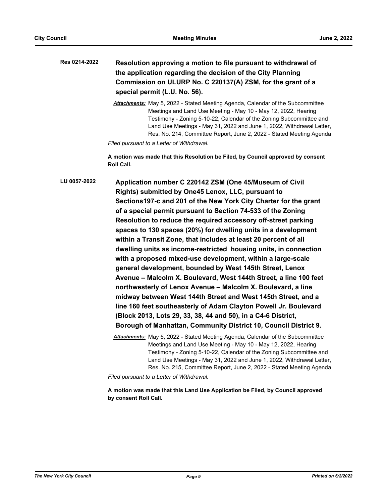| Res 0214-2022 | Resolution approving a motion to file pursuant to withdrawal of |
|---------------|-----------------------------------------------------------------|
|               | the application regarding the decision of the City Planning     |
|               | Commission on ULURP No. C 220137(A) ZSM, for the grant of a     |
|               | special permit (L.U. No. 56).                                   |

*Attachments:* May 5, 2022 - Stated Meeting Agenda, Calendar of the Subcommittee Meetings and Land Use Meeting - May 10 - May 12, 2022, Hearing Testimony - Zoning 5-10-22, Calendar of the Zoning Subcommittee and Land Use Meetings - May 31, 2022 and June 1, 2022, Withdrawal Letter, Res. No. 214, Committee Report, June 2, 2022 - Stated Meeting Agenda

*Filed pursuant to a Letter of Withdrawal.*

**A motion was made that this Resolution be Filed, by Council approved by consent Roll Call.**

**Application number C 220142 ZSM (One 45/Museum of Civil Rights) submitted by One45 Lenox, LLC, pursuant to Sections197-c and 201 of the New York City Charter for the grant of a special permit pursuant to Section 74-533 of the Zoning Resolution to reduce the required accessory off-street parking spaces to 130 spaces (20%) for dwelling units in a development within a Transit Zone, that includes at least 20 percent of all dwelling units as income-restricted housing units, in connection with a proposed mixed-use development, within a large-scale general development, bounded by West 145th Street, Lenox Avenue – Malcolm X. Boulevard, West 144th Street, a line 100 feet northwesterly of Lenox Avenue – Malcolm X. Boulevard, a line midway between West 144th Street and West 145th Street, and a line 160 feet southeasterly of Adam Clayton Powell Jr. Boulevard (Block 2013, Lots 29, 33, 38, 44 and 50), in a C4-6 District, Borough of Manhattan, Community District 10, Council District 9. LU 0057-2022**

*Attachments:* May 5, 2022 - Stated Meeting Agenda, Calendar of the Subcommittee Meetings and Land Use Meeting - May 10 - May 12, 2022, Hearing Testimony - Zoning 5-10-22, Calendar of the Zoning Subcommittee and Land Use Meetings - May 31, 2022 and June 1, 2022, Withdrawal Letter, Res. No. 215, Committee Report, June 2, 2022 - Stated Meeting Agenda

*Filed pursuant to a Letter of Withdrawal.*

**A motion was made that this Land Use Application be Filed, by Council approved by consent Roll Call.**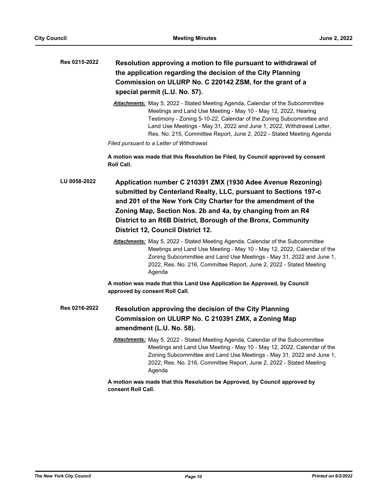| Res 0215-2022 | Resolution approving a motion to file pursuant to withdrawal of<br>the application regarding the decision of the City Planning                                                                                                                                                                                                                                                  |
|---------------|---------------------------------------------------------------------------------------------------------------------------------------------------------------------------------------------------------------------------------------------------------------------------------------------------------------------------------------------------------------------------------|
|               | Commission on ULURP No. C 220142 ZSM, for the grant of a                                                                                                                                                                                                                                                                                                                        |
|               | special permit (L.U. No. 57).                                                                                                                                                                                                                                                                                                                                                   |
|               | <b>Attachments:</b> May 5, 2022 - Stated Meeting Agenda, Calendar of the Subcommittee<br>Meetings and Land Use Meeting - May 10 - May 12, 2022, Hearing<br>Testimony - Zoning 5-10-22, Calendar of the Zoning Subcommittee and<br>Land Use Meetings - May 31, 2022 and June 1, 2022, Withdrawal Letter,<br>Res. No. 215, Committee Report, June 2, 2022 - Stated Meeting Agenda |
|               | Filed pursuant to a Letter of Withdrawal.                                                                                                                                                                                                                                                                                                                                       |
|               | A motion was made that this Resolution be Filed, by Council approved by consent<br>Roll Call.                                                                                                                                                                                                                                                                                   |
| LU 0058-2022  | Application number C 210391 ZMX (1930 Adee Avenue Rezoning)<br>submitted by Centerland Realty, LLC, pursuant to Sections 197-c<br>and 201 of the New York City Charter for the amendment of the<br>Zoning Map, Section Nos. 2b and 4a, by changing from an R4<br>District to an R6B District, Borough of the Bronx, Community<br><b>District 12, Council District 12.</b>       |
|               | <b>Attachments:</b> May 5, 2022 - Stated Meeting Agenda, Calendar of the Subcommittee<br>Meetings and Land Use Meeting - May 10 - May 12, 2022, Calendar of the<br>Zoning Subcommittee and Land Use Meetings - May 31, 2022 and June 1,<br>2022, Res. No. 216, Committee Report, June 2, 2022 - Stated Meeting<br>Agenda                                                        |
|               | A motion was made that this Land Use Application be Approved, by Council<br>approved by consent Roll Call.                                                                                                                                                                                                                                                                      |
| Res 0216-2022 | Resolution approving the decision of the City Planning<br>Commission on ULURP No. C 210391 ZMX, a Zoning Map<br>amendment (L.U. No. 58).                                                                                                                                                                                                                                        |
|               | Attachments: May 5, 2022 - Stated Meeting Agenda, Calendar of the Subcommittee<br>Meetings and Land Use Meeting - May 10 - May 12, 2022, Calendar of the<br>Zoning Subcommittee and Land Use Meetings - May 31, 2022 and June 1,<br>2022, Res. No. 216, Committee Report, June 2, 2022 - Stated Meeting<br>Agenda                                                               |
|               | A motion was made that this Resolution be Approved, by Council approved by<br>consent Roll Call.                                                                                                                                                                                                                                                                                |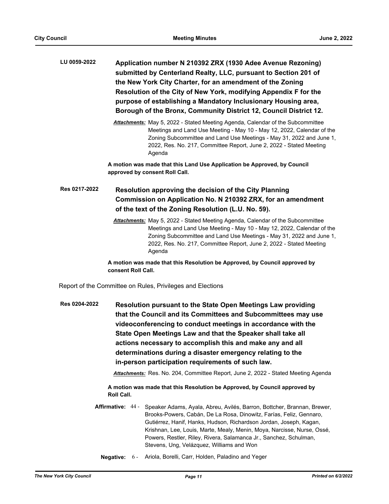| LU 0059-2022 | Application number N 210392 ZRX (1930 Adee Avenue Rezoning)       |
|--------------|-------------------------------------------------------------------|
|              | submitted by Centerland Realty, LLC, pursuant to Section 201 of   |
|              | the New York City Charter, for an amendment of the Zoning         |
|              | Resolution of the City of New York, modifying Appendix F for the  |
|              | purpose of establishing a Mandatory Inclusionary Housing area,    |
|              | Borough of the Bronx, Community District 12, Council District 12. |

*Attachments:* May 5, 2022 - Stated Meeting Agenda, Calendar of the Subcommittee Meetings and Land Use Meeting - May 10 - May 12, 2022, Calendar of the Zoning Subcommittee and Land Use Meetings - May 31, 2022 and June 1, 2022, Res. No. 217, Committee Report, June 2, 2022 - Stated Meeting Agenda

**A motion was made that this Land Use Application be Approved, by Council approved by consent Roll Call.**

#### **Resolution approving the decision of the City Planning Commission on Application No. N 210392 ZRX, for an amendment of the text of the Zoning Resolution (L.U. No. 59). Res 0217-2022**

*Attachments:* May 5, 2022 - Stated Meeting Agenda, Calendar of the Subcommittee Meetings and Land Use Meeting - May 10 - May 12, 2022, Calendar of the Zoning Subcommittee and Land Use Meetings - May 31, 2022 and June 1, 2022, Res. No. 217, Committee Report, June 2, 2022 - Stated Meeting Agenda

**A motion was made that this Resolution be Approved, by Council approved by consent Roll Call.**

Report of the Committee on Rules, Privileges and Elections

**Resolution pursuant to the State Open Meetings Law providing that the Council and its Committees and Subcommittees may use videoconferencing to conduct meetings in accordance with the State Open Meetings Law and that the Speaker shall take all actions necessary to accomplish this and make any and all determinations during a disaster emergency relating to the in-person participation requirements of such law. Res 0204-2022**

*Attachments:* Res. No. 204, Committee Report, June 2, 2022 - Stated Meeting Agenda

**A motion was made that this Resolution be Approved, by Council approved by Roll Call.**

Affirmative: 44 - Speaker Adams, Ayala, Abreu, Avilés, Barron, Bottcher, Brannan, Brewer, Brooks-Powers, Cabán, De La Rosa, Dinowitz, Farías, Feliz, Gennaro, Gutiérrez, Hanif, Hanks, Hudson, Richardson Jordan, Joseph, Kagan, Krishnan, Lee, Louis, Marte, Mealy, Menin, Moya, Narcisse, Nurse, Ossé, Powers, Restler, Riley, Rivera, Salamanca Jr., Sanchez, Schulman, Stevens, Ung, Velázquez, Williams and Won

**Negative:** 6 - Ariola, Borelli, Carr, Holden, Paladino and Yeger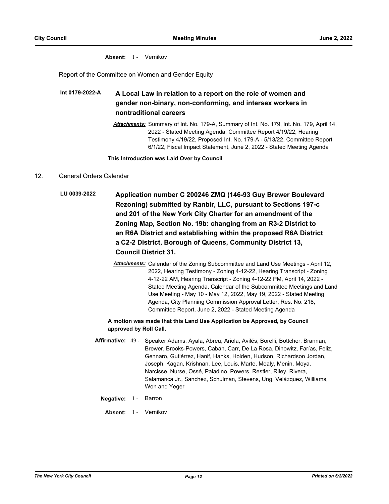#### Absent: 1 - Vernikov

Report of the Committee on Women and Gender Equity

#### **A Local Law in relation to a report on the role of women and gender non-binary, non-conforming, and intersex workers in nontraditional careers Int 0179-2022-A**

*Attachments:* Summary of Int. No. 179-A, Summary of Int. No. 179, Int. No. 179, April 14, 2022 - Stated Meeting Agenda, Committee Report 4/19/22, Hearing Testimony 4/19/22, Proposed Int. No. 179-A - 5/13/22, Committee Report 6/1/22, Fiscal Impact Statement, June 2, 2022 - Stated Meeting Agenda

#### **This Introduction was Laid Over by Council**

#### 12. General Orders Calendar

- **Application number C 200246 ZMQ (146-93 Guy Brewer Boulevard Rezoning) submitted by Ranbir, LLC, pursuant to Sections 197-c and 201 of the New York City Charter for an amendment of the Zoning Map, Section No. 19b: changing from an R3-2 District to an R6A District and establishing within the proposed R6A District a C2-2 District, Borough of Queens, Community District 13, Council District 31. LU 0039-2022**
	- *Attachments:* Calendar of the Zoning Subcommittee and Land Use Meetings April 12, 2022, Hearing Testimony - Zoning 4-12-22, Hearing Transcript - Zoning 4-12-22 AM, Hearing Transcript - Zoning 4-12-22 PM, April 14, 2022 - Stated Meeting Agenda, Calendar of the Subcommittee Meetings and Land Use Meeting - May 10 - May 12, 2022, May 19, 2022 - Stated Meeting Agenda, City Planning Commission Approval Letter, Res. No. 218, Committee Report, June 2, 2022 - Stated Meeting Agenda

#### **A motion was made that this Land Use Application be Approved, by Council approved by Roll Call.**

- Affirmative: 49 Speaker Adams, Ayala, Abreu, Ariola, Avilés, Borelli, Bottcher, Brannan, Brewer, Brooks-Powers, Cabán, Carr, De La Rosa, Dinowitz, Farías, Feliz, Gennaro, Gutiérrez, Hanif, Hanks, Holden, Hudson, Richardson Jordan, Joseph, Kagan, Krishnan, Lee, Louis, Marte, Mealy, Menin, Moya, Narcisse, Nurse, Ossé, Paladino, Powers, Restler, Riley, Rivera, Salamanca Jr., Sanchez, Schulman, Stevens, Ung, Velázquez, Williams, Won and Yeger
	- **Negative:** 1 Barron
		- Absent: 1 Vernikov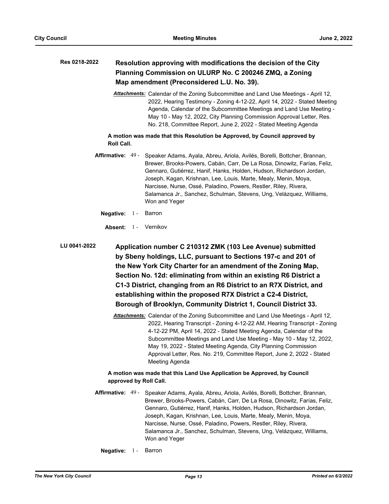#### **Resolution approving with modifications the decision of the City Planning Commission on ULURP No. C 200246 ZMQ, a Zoning Map amendment (Preconsidered L.U. No. 39). Res 0218-2022**

*Attachments:* Calendar of the Zoning Subcommittee and Land Use Meetings - April 12, 2022, Hearing Testimony - Zoning 4-12-22, April 14, 2022 - Stated Meeting Agenda, Calendar of the Subcommittee Meetings and Land Use Meeting - May 10 - May 12, 2022, City Planning Commission Approval Letter, Res. No. 218, Committee Report, June 2, 2022 - Stated Meeting Agenda

**A motion was made that this Resolution be Approved, by Council approved by Roll Call.**

- **Affirmative:** Speaker Adams, Ayala, Abreu, Ariola, Avilés, Borelli, Bottcher, Brannan, Brewer, Brooks-Powers, Cabán, Carr, De La Rosa, Dinowitz, Farías, Feliz, Gennaro, Gutiérrez, Hanif, Hanks, Holden, Hudson, Richardson Jordan, Joseph, Kagan, Krishnan, Lee, Louis, Marte, Mealy, Menin, Moya, Narcisse, Nurse, Ossé, Paladino, Powers, Restler, Riley, Rivera, Salamanca Jr., Sanchez, Schulman, Stevens, Ung, Velázquez, Williams, Won and Yeger Affirmative: 49 -
	- **Negative:** 1 Barron
		- **Absent:** 1 Vernikov

**Application number C 210312 ZMK (103 Lee Avenue) submitted by Sbeny holdings, LLC, pursuant to Sections 197-c and 201 of the New York City Charter for an amendment of the Zoning Map, Section No. 12d: eliminating from within an existing R6 District a C1-3 District, changing from an R6 District to an R7X District, and establishing within the proposed R7X District a C2-4 District, Borough of Brooklyn, Community District 1, Council District 33. LU 0041-2022**

> *Attachments:* Calendar of the Zoning Subcommittee and Land Use Meetings - April 12, 2022, Hearing Transcript - Zoning 4-12-22 AM, Hearing Transcript - Zoning 4-12-22 PM, April 14, 2022 - Stated Meeting Agenda, Calendar of the Subcommittee Meetings and Land Use Meeting - May 10 - May 12, 2022, May 19, 2022 - Stated Meeting Agenda, City Planning Commission Approval Letter, Res. No. 219, Committee Report, June 2, 2022 - Stated Meeting Agenda

## **A motion was made that this Land Use Application be Approved, by Council approved by Roll Call.**

- Affirmative: 49 Speaker Adams, Ayala, Abreu, Ariola, Avilés, Borelli, Bottcher, Brannan, Brewer, Brooks-Powers, Cabán, Carr, De La Rosa, Dinowitz, Farías, Feliz, Gennaro, Gutiérrez, Hanif, Hanks, Holden, Hudson, Richardson Jordan, Joseph, Kagan, Krishnan, Lee, Louis, Marte, Mealy, Menin, Moya, Narcisse, Nurse, Ossé, Paladino, Powers, Restler, Riley, Rivera, Salamanca Jr., Sanchez, Schulman, Stevens, Ung, Velázquez, Williams, Won and Yeger
	- **Negative:** 1 Barron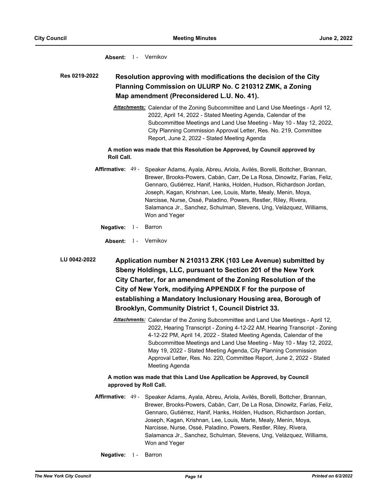#### Absent: 1 - Vernikov

#### **Resolution approving with modifications the decision of the City Planning Commission on ULURP No. C 210312 ZMK, a Zoning Map amendment (Preconsidered L.U. No. 41). Res 0219-2022**

*Attachments:* Calendar of the Zoning Subcommittee and Land Use Meetings - April 12, 2022, April 14, 2022 - Stated Meeting Agenda, Calendar of the Subcommittee Meetings and Land Use Meeting - May 10 - May 12, 2022, City Planning Commission Approval Letter, Res. No. 219, Committee Report, June 2, 2022 - Stated Meeting Agenda

#### **A motion was made that this Resolution be Approved, by Council approved by Roll Call.**

- **Affirmative:** Speaker Adams, Ayala, Abreu, Ariola, Avilés, Borelli, Bottcher, Brannan, Brewer, Brooks-Powers, Cabán, Carr, De La Rosa, Dinowitz, Farías, Feliz, Gennaro, Gutiérrez, Hanif, Hanks, Holden, Hudson, Richardson Jordan, Joseph, Kagan, Krishnan, Lee, Louis, Marte, Mealy, Menin, Moya, Narcisse, Nurse, Ossé, Paladino, Powers, Restler, Riley, Rivera, Salamanca Jr., Sanchez, Schulman, Stevens, Ung, Velázquez, Williams, Won and Yeger Affirmative: 49 -
	- **Negative:** 1 Barron
	- **Absent:** 1 Vernikov

**Application number N 210313 ZRK (103 Lee Avenue) submitted by Sbeny Holdings, LLC, pursuant to Section 201 of the New York City Charter, for an amendment of the Zoning Resolution of the City of New York, modifying APPENDIX F for the purpose of establishing a Mandatory Inclusionary Housing area, Borough of Brooklyn, Community District 1, Council District 33. LU 0042-2022**

> *Attachments:* Calendar of the Zoning Subcommittee and Land Use Meetings - April 12, 2022, Hearing Transcript - Zoning 4-12-22 AM, Hearing Transcript - Zoning 4-12-22 PM, April 14, 2022 - Stated Meeting Agenda, Calendar of the Subcommittee Meetings and Land Use Meeting - May 10 - May 12, 2022, May 19, 2022 - Stated Meeting Agenda, City Planning Commission Approval Letter, Res. No. 220, Committee Report, June 2, 2022 - Stated Meeting Agenda

## **A motion was made that this Land Use Application be Approved, by Council approved by Roll Call.**

- **Affirmative:** Speaker Adams, Ayala, Abreu, Ariola, Avilés, Borelli, Bottcher, Brannan, Brewer, Brooks-Powers, Cabán, Carr, De La Rosa, Dinowitz, Farías, Feliz, Gennaro, Gutiérrez, Hanif, Hanks, Holden, Hudson, Richardson Jordan, Joseph, Kagan, Krishnan, Lee, Louis, Marte, Mealy, Menin, Moya, Narcisse, Nurse, Ossé, Paladino, Powers, Restler, Riley, Rivera, Salamanca Jr., Sanchez, Schulman, Stevens, Ung, Velázquez, Williams, Won and Yeger Affirmative: 49 -
	- **Negative:** 1 Barron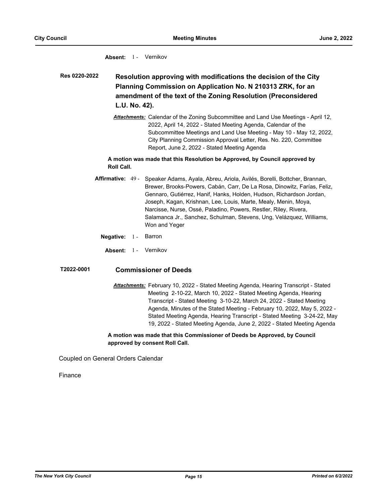#### Absent: 1 - Vernikov

**Resolution approving with modifications the decision of the City Planning Commission on Application No. N 210313 ZRK, for an amendment of the text of the Zoning Resolution (Preconsidered L.U. No. 42). Res 0220-2022**

> *Attachments:* Calendar of the Zoning Subcommittee and Land Use Meetings - April 12, 2022, April 14, 2022 - Stated Meeting Agenda, Calendar of the Subcommittee Meetings and Land Use Meeting - May 10 - May 12, 2022, City Planning Commission Approval Letter, Res. No. 220, Committee Report, June 2, 2022 - Stated Meeting Agenda

#### **A motion was made that this Resolution be Approved, by Council approved by Roll Call.**

- Affirmative: 49 Speaker Adams, Ayala, Abreu, Ariola, Avilés, Borelli, Bottcher, Brannan, Brewer, Brooks-Powers, Cabán, Carr, De La Rosa, Dinowitz, Farías, Feliz, Gennaro, Gutiérrez, Hanif, Hanks, Holden, Hudson, Richardson Jordan, Joseph, Kagan, Krishnan, Lee, Louis, Marte, Mealy, Menin, Moya, Narcisse, Nurse, Ossé, Paladino, Powers, Restler, Riley, Rivera, Salamanca Jr., Sanchez, Schulman, Stevens, Ung, Velázquez, Williams, Won and Yeger
	- **Negative:** 1 Barron
	- Absent: 1 Vernikov

## **T2022-0001 Commissioner of Deeds**

*Attachments:* February 10, 2022 - Stated Meeting Agenda, Hearing Transcript - Stated Meeting 2-10-22, March 10, 2022 - Stated Meeting Agenda, Hearing Transcript - Stated Meeting 3-10-22, March 24, 2022 - Stated Meeting Agenda, Minutes of the Stated Meeting - February 10, 2022, May 5, 2022 - Stated Meeting Agenda, Hearing Transcript - Stated Meeting 3-24-22, May 19, 2022 - Stated Meeting Agenda, June 2, 2022 - Stated Meeting Agenda

#### **A motion was made that this Commissioner of Deeds be Approved, by Council approved by consent Roll Call.**

Coupled on General Orders Calendar

Finance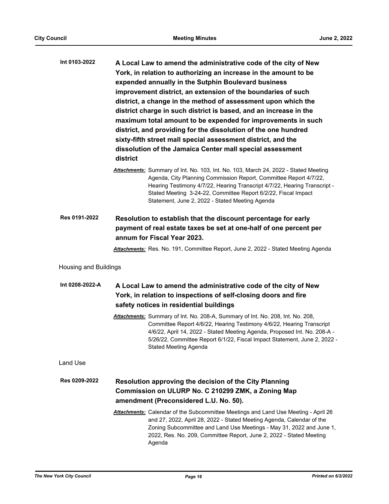| Int 0103-2022                | A Local Law to amend the administrative code of the city of New<br>York, in relation to authorizing an increase in the amount to be<br>expended annually in the Sutphin Boulevard business<br>improvement district, an extension of the boundaries of such<br>district, a change in the method of assessment upon which the<br>district charge in such district is based, and an increase in the<br>maximum total amount to be expended for improvements in such<br>district, and providing for the dissolution of the one hundred<br>sixty-fifth street mall special assessment district, and the<br>dissolution of the Jamaica Center mall special assessment<br>district |
|------------------------------|-----------------------------------------------------------------------------------------------------------------------------------------------------------------------------------------------------------------------------------------------------------------------------------------------------------------------------------------------------------------------------------------------------------------------------------------------------------------------------------------------------------------------------------------------------------------------------------------------------------------------------------------------------------------------------|
|                              | Attachments: Summary of Int. No. 103, Int. No. 103, March 24, 2022 - Stated Meeting<br>Agenda, City Planning Commission Report, Committee Report 4/7/22,<br>Hearing Testimony 4/7/22, Hearing Transcript 4/7/22, Hearing Transcript -<br>Stated Meeting 3-24-22, Committee Report 6/2/22, Fiscal Impact<br>Statement, June 2, 2022 - Stated Meeting Agenda                                                                                                                                                                                                                                                                                                                  |
| Res 0191-2022                | Resolution to establish that the discount percentage for early<br>payment of real estate taxes be set at one-half of one percent per<br>annum for Fiscal Year 2023.                                                                                                                                                                                                                                                                                                                                                                                                                                                                                                         |
|                              | Attachments: Res. No. 191, Committee Report, June 2, 2022 - Stated Meeting Agenda                                                                                                                                                                                                                                                                                                                                                                                                                                                                                                                                                                                           |
| <b>Housing and Buildings</b> |                                                                                                                                                                                                                                                                                                                                                                                                                                                                                                                                                                                                                                                                             |
| Int 0208-2022-A              | A Local Law to amend the administrative code of the city of New<br>York, in relation to inspections of self-closing doors and fire<br>safety notices in residential buildings                                                                                                                                                                                                                                                                                                                                                                                                                                                                                               |
|                              | Attachments: Summary of Int. No. 208-A, Summary of Int. No. 208, Int. No. 208,<br>Committee Report 4/6/22, Hearing Testimony 4/6/22, Hearing Transcript<br>4/6/22, April 14, 2022 - Stated Meeting Agenda, Proposed Int. No. 208-A -<br>5/26/22, Committee Report 6/1/22, Fiscal Impact Statement, June 2, 2022 -<br><b>Stated Meeting Agenda</b>                                                                                                                                                                                                                                                                                                                           |
| Land Use                     |                                                                                                                                                                                                                                                                                                                                                                                                                                                                                                                                                                                                                                                                             |
| Res 0209-2022                | <b>Resolution approving the decision of the City Planning</b><br>Commission on ULURP No. C 210299 ZMK, a Zoning Map<br>amendment (Preconsidered L.U. No. 50).                                                                                                                                                                                                                                                                                                                                                                                                                                                                                                               |
|                              | Attachments: Calendar of the Subcommittee Meetings and Land Use Meeting - April 26<br>and 27, 2022, April 28, 2022 - Stated Meeting Agenda, Calendar of the<br>Zoning Subcommittee and Land Use Meetings - May 31, 2022 and June 1,<br>2022, Res. No. 209, Committee Report, June 2, 2022 - Stated Meeting<br>Agenda                                                                                                                                                                                                                                                                                                                                                        |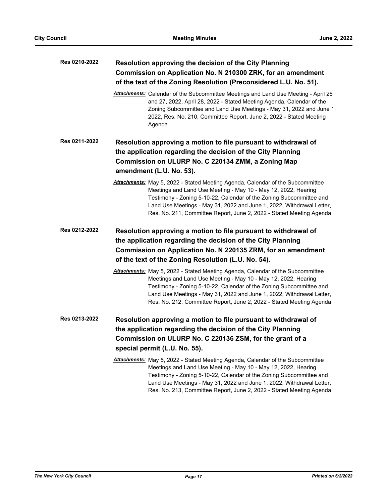| Res 0210-2022 | Resolution approving the decision of the City Planning<br>Commission on Application No. N 210300 ZRK, for an amendment<br>of the text of the Zoning Resolution (Preconsidered L.U. No. 51).                                                                                                                                                                                     |
|---------------|---------------------------------------------------------------------------------------------------------------------------------------------------------------------------------------------------------------------------------------------------------------------------------------------------------------------------------------------------------------------------------|
|               | Attachments: Calendar of the Subcommittee Meetings and Land Use Meeting - April 26<br>and 27, 2022, April 28, 2022 - Stated Meeting Agenda, Calendar of the<br>Zoning Subcommittee and Land Use Meetings - May 31, 2022 and June 1,<br>2022, Res. No. 210, Committee Report, June 2, 2022 - Stated Meeting<br>Agenda                                                            |
| Res 0211-2022 | Resolution approving a motion to file pursuant to withdrawal of<br>the application regarding the decision of the City Planning<br>Commission on ULURP No. C 220134 ZMM, a Zoning Map                                                                                                                                                                                            |
|               | amendment (L.U. No. 53).                                                                                                                                                                                                                                                                                                                                                        |
|               | <b>Attachments:</b> May 5, 2022 - Stated Meeting Agenda, Calendar of the Subcommittee<br>Meetings and Land Use Meeting - May 10 - May 12, 2022, Hearing<br>Testimony - Zoning 5-10-22, Calendar of the Zoning Subcommittee and<br>Land Use Meetings - May 31, 2022 and June 1, 2022, Withdrawal Letter,<br>Res. No. 211, Committee Report, June 2, 2022 - Stated Meeting Agenda |
| Res 0212-2022 | Resolution approving a motion to file pursuant to withdrawal of<br>the application regarding the decision of the City Planning                                                                                                                                                                                                                                                  |
|               | Commission on Application No. N 220135 ZRM, for an amendment<br>of the text of the Zoning Resolution (L.U. No. 54).                                                                                                                                                                                                                                                             |
|               | <b>Attachments:</b> May 5, 2022 - Stated Meeting Agenda, Calendar of the Subcommittee<br>Meetings and Land Use Meeting - May 10 - May 12, 2022, Hearing<br>Testimony - Zoning 5-10-22, Calendar of the Zoning Subcommittee and<br>Land Use Meetings - May 31, 2022 and June 1, 2022, Withdrawal Letter,<br>Res. No. 212, Committee Report, June 2, 2022 - Stated Meeting Agenda |
| Res 0213-2022 | Resolution approving a motion to file pursuant to withdrawal of<br>the application regarding the decision of the City Planning                                                                                                                                                                                                                                                  |
|               | Commission on ULURP No. C 220136 ZSM, for the grant of a                                                                                                                                                                                                                                                                                                                        |
|               | special permit (L.U. No. 55).                                                                                                                                                                                                                                                                                                                                                   |
|               | <b>Attachments:</b> May 5, 2022 - Stated Meeting Agenda, Calendar of the Subcommittee<br>Meetings and Land Use Meeting - May 10 - May 12, 2022, Hearing<br>Testimony - Zoning 5-10-22, Calendar of the Zoning Subcommittee and<br>Land Use Meetings - May 31, 2022 and June 1, 2022, Withdrawal Letter,<br>Res. No. 213, Committee Report, June 2, 2022 - Stated Meeting Agenda |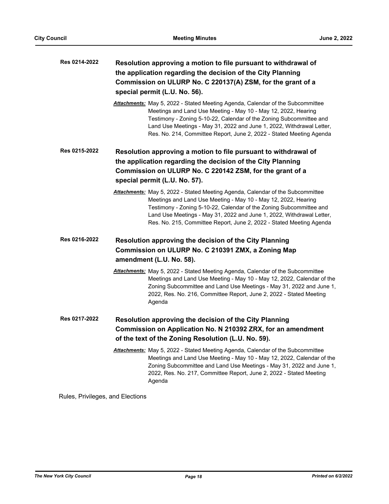| Res 0214-2022 | Resolution approving a motion to file pursuant to withdrawal of<br>the application regarding the decision of the City Planning<br>Commission on ULURP No. C 220137(A) ZSM, for the grant of a<br>special permit (L.U. No. 56).                                                                                                                                           |  |
|---------------|--------------------------------------------------------------------------------------------------------------------------------------------------------------------------------------------------------------------------------------------------------------------------------------------------------------------------------------------------------------------------|--|
|               | Attachments: May 5, 2022 - Stated Meeting Agenda, Calendar of the Subcommittee<br>Meetings and Land Use Meeting - May 10 - May 12, 2022, Hearing<br>Testimony - Zoning 5-10-22, Calendar of the Zoning Subcommittee and<br>Land Use Meetings - May 31, 2022 and June 1, 2022, Withdrawal Letter,<br>Res. No. 214, Committee Report, June 2, 2022 - Stated Meeting Agenda |  |
| Res 0215-2022 | Resolution approving a motion to file pursuant to withdrawal of                                                                                                                                                                                                                                                                                                          |  |
|               | the application regarding the decision of the City Planning                                                                                                                                                                                                                                                                                                              |  |
|               | Commission on ULURP No. C 220142 ZSM, for the grant of a<br>special permit (L.U. No. 57).                                                                                                                                                                                                                                                                                |  |
|               | Attachments: May 5, 2022 - Stated Meeting Agenda, Calendar of the Subcommittee<br>Meetings and Land Use Meeting - May 10 - May 12, 2022, Hearing<br>Testimony - Zoning 5-10-22, Calendar of the Zoning Subcommittee and<br>Land Use Meetings - May 31, 2022 and June 1, 2022, Withdrawal Letter,<br>Res. No. 215, Committee Report, June 2, 2022 - Stated Meeting Agenda |  |
| Res 0216-2022 | Resolution approving the decision of the City Planning                                                                                                                                                                                                                                                                                                                   |  |
|               | Commission on ULURP No. C 210391 ZMX, a Zoning Map<br>amendment (L.U. No. 58).                                                                                                                                                                                                                                                                                           |  |
|               | <b>Attachments:</b> May 5, 2022 - Stated Meeting Agenda, Calendar of the Subcommittee<br>Meetings and Land Use Meeting - May 10 - May 12, 2022, Calendar of the<br>Zoning Subcommittee and Land Use Meetings - May 31, 2022 and June 1,<br>2022, Res. No. 216, Committee Report, June 2, 2022 - Stated Meeting<br>Agenda                                                 |  |
| Res 0217-2022 | Resolution approving the decision of the City Planning<br>Commission on Application No. N 210392 ZRX, for an amendment                                                                                                                                                                                                                                                   |  |
|               | of the text of the Zoning Resolution (L.U. No. 59).                                                                                                                                                                                                                                                                                                                      |  |
|               | Attachments: May 5, 2022 - Stated Meeting Agenda, Calendar of the Subcommittee<br>Meetings and Land Use Meeting - May 10 - May 12, 2022, Calendar of the<br>Zoning Subcommittee and Land Use Meetings - May 31, 2022 and June 1,<br>2022, Res. No. 217, Committee Report, June 2, 2022 - Stated Meeting<br>Agenda                                                        |  |

Rules, Privileges, and Elections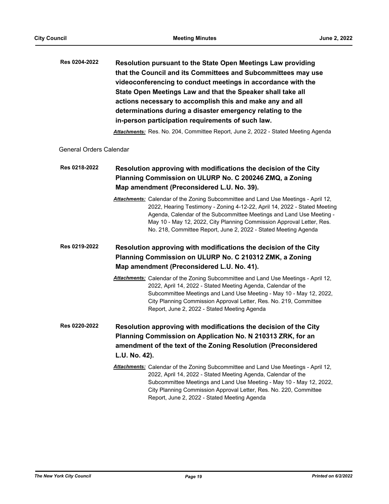| Resolution pursuant to the State Open Meetings Law providing  |
|---------------------------------------------------------------|
| that the Council and its Committees and Subcommittees may use |
| videoconferencing to conduct meetings in accordance with the  |
| State Open Meetings Law and that the Speaker shall take all   |
| actions necessary to accomplish this and make any and all     |
| determinations during a disaster emergency relating to the    |
| in-person participation requirements of such law.             |
|                                                               |

*Attachments:* Res. No. 204, Committee Report, June 2, 2022 - Stated Meeting Agenda

General Orders Calendar

#### **Resolution approving with modifications the decision of the City Planning Commission on ULURP No. C 200246 ZMQ, a Zoning Map amendment (Preconsidered L.U. No. 39). Res 0218-2022**

*Attachments:* Calendar of the Zoning Subcommittee and Land Use Meetings - April 12, 2022, Hearing Testimony - Zoning 4-12-22, April 14, 2022 - Stated Meeting Agenda, Calendar of the Subcommittee Meetings and Land Use Meeting - May 10 - May 12, 2022, City Planning Commission Approval Letter, Res. No. 218, Committee Report, June 2, 2022 - Stated Meeting Agenda

#### **Resolution approving with modifications the decision of the City Planning Commission on ULURP No. C 210312 ZMK, a Zoning Map amendment (Preconsidered L.U. No. 41). Res 0219-2022**

- *Attachments:* Calendar of the Zoning Subcommittee and Land Use Meetings April 12, 2022, April 14, 2022 - Stated Meeting Agenda, Calendar of the Subcommittee Meetings and Land Use Meeting - May 10 - May 12, 2022, City Planning Commission Approval Letter, Res. No. 219, Committee Report, June 2, 2022 - Stated Meeting Agenda
- **Resolution approving with modifications the decision of the City Planning Commission on Application No. N 210313 ZRK, for an amendment of the text of the Zoning Resolution (Preconsidered L.U. No. 42). Res 0220-2022**
	- *Attachments:* Calendar of the Zoning Subcommittee and Land Use Meetings April 12, 2022, April 14, 2022 - Stated Meeting Agenda, Calendar of the Subcommittee Meetings and Land Use Meeting - May 10 - May 12, 2022, City Planning Commission Approval Letter, Res. No. 220, Committee Report, June 2, 2022 - Stated Meeting Agenda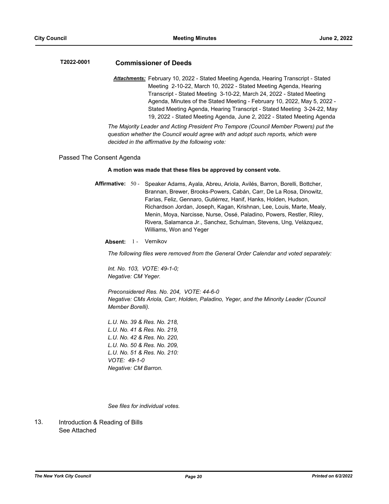## **T2022-0001 Commissioner of Deeds**

*Attachments:* February 10, 2022 - Stated Meeting Agenda, Hearing Transcript - Stated Meeting 2-10-22, March 10, 2022 - Stated Meeting Agenda, Hearing Transcript - Stated Meeting 3-10-22, March 24, 2022 - Stated Meeting Agenda, Minutes of the Stated Meeting - February 10, 2022, May 5, 2022 - Stated Meeting Agenda, Hearing Transcript - Stated Meeting 3-24-22, May 19, 2022 - Stated Meeting Agenda, June 2, 2022 - Stated Meeting Agenda

*The Majority Leader and Acting President Pro Tempore (Council Member Powers) put the question whether the Council would agree with and adopt such reports, which were decided in the affirmative by the following vote:*

#### Passed The Consent Agenda

#### **A motion was made that these files be approved by consent vote.**

Affirmative: 50 - Speaker Adams, Ayala, Abreu, Ariola, Avilés, Barron, Borelli, Bottcher, Brannan, Brewer, Brooks-Powers, Cabán, Carr, De La Rosa, Dinowitz, Farías, Feliz, Gennaro, Gutiérrez, Hanif, Hanks, Holden, Hudson, Richardson Jordan, Joseph, Kagan, Krishnan, Lee, Louis, Marte, Mealy, Menin, Moya, Narcisse, Nurse, Ossé, Paladino, Powers, Restler, Riley, Rivera, Salamanca Jr., Sanchez, Schulman, Stevens, Ung, Velázquez, Williams, Won and Yeger

Absent: 1 - Vernikov

*The following files were removed from the General Order Calendar and voted separately:*

*Int. No. 103, VOTE: 49-1-0; Negative: CM Yeger.*

*Preconsidered Res. No. 204, VOTE: 44-6-0 Negative: CMs Ariola, Carr, Holden, Paladino, Yeger, and the Minority Leader (Council Member Borelli).*

*L.U. No. 39 & Res. No. 218, L.U. No. 41 & Res. No. 219, L.U. No. 42 & Res. No. 220, L.U. No. 50 & Res. No. 209, L.U. No. 51 & Res. No. 210: VOTE: 49-1-0 Negative: CM Barron.*

*See files for individual votes.*

Introduction & Reading of Bills See Attached 13.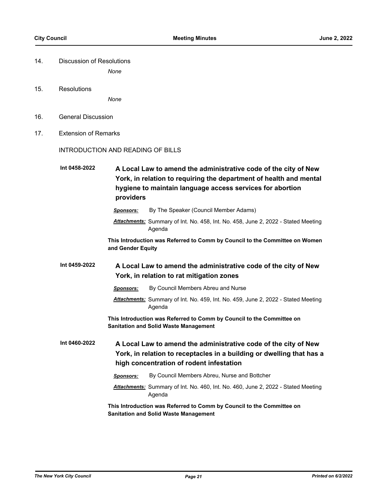| 14. | Discussion of Resolutions |
|-----|---------------------------|
|     |                           |

*None*

15. Resolutions

*None*

- 16. General Discussion
- 17. Extension of Remarks

#### INTRODUCTION AND READING OF BILLS

**A Local Law to amend the administrative code of the city of New York, in relation to requiring the department of health and mental hygiene to maintain language access services for abortion providers Int 0458-2022**

- *Sponsors:* By The Speaker (Council Member Adams)
- *Attachments:* Summary of Int. No. 458, Int. No. 458, June 2, 2022 Stated Meeting Agenda

**This Introduction was Referred to Comm by Council to the Committee on Women and Gender Equity**

**A Local Law to amend the administrative code of the city of New York, in relation to rat mitigation zones Int 0459-2022**

- *Sponsors:* By Council Members Abreu and Nurse
- *Attachments:* Summary of Int. No. 459, Int. No. 459, June 2, 2022 Stated Meeting Agenda

**This Introduction was Referred to Comm by Council to the Committee on Sanitation and Solid Waste Management**

- **A Local Law to amend the administrative code of the city of New York, in relation to receptacles in a building or dwelling that has a high concentration of rodent infestation Int 0460-2022**
	- *Sponsors:* By Council Members Abreu, Nurse and Bottcher *Attachments:* Summary of Int. No. 460, Int. No. 460, June 2, 2022 - Stated Meeting Agenda

**This Introduction was Referred to Comm by Council to the Committee on Sanitation and Solid Waste Management**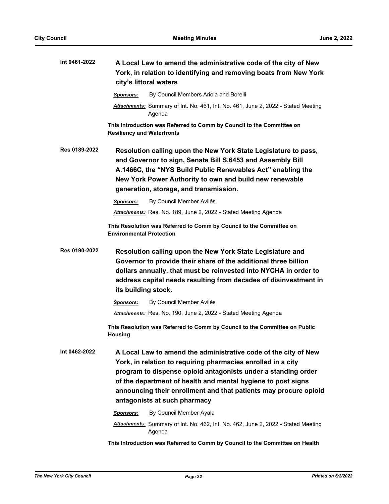| Int 0461-2022 | A Local Law to amend the administrative code of the city of New<br>York, in relation to identifying and removing boats from New York<br>city's littoral waters                                                                                                                                                                                                       |
|---------------|----------------------------------------------------------------------------------------------------------------------------------------------------------------------------------------------------------------------------------------------------------------------------------------------------------------------------------------------------------------------|
|               | By Council Members Ariola and Borelli<br><b>Sponsors:</b>                                                                                                                                                                                                                                                                                                            |
|               | Attachments: Summary of Int. No. 461, Int. No. 461, June 2, 2022 - Stated Meeting<br>Agenda                                                                                                                                                                                                                                                                          |
|               | This Introduction was Referred to Comm by Council to the Committee on<br><b>Resiliency and Waterfronts</b>                                                                                                                                                                                                                                                           |
| Res 0189-2022 | Resolution calling upon the New York State Legislature to pass,<br>and Governor to sign, Senate Bill S.6453 and Assembly Bill<br>A.1466C, the "NYS Build Public Renewables Act" enabling the<br>New York Power Authority to own and build new renewable<br>generation, storage, and transmission.                                                                    |
|               | By Council Member Avilés<br>Sponsors:                                                                                                                                                                                                                                                                                                                                |
|               | Attachments: Res. No. 189, June 2, 2022 - Stated Meeting Agenda                                                                                                                                                                                                                                                                                                      |
|               | This Resolution was Referred to Comm by Council to the Committee on<br><b>Environmental Protection</b>                                                                                                                                                                                                                                                               |
| Res 0190-2022 | Resolution calling upon the New York State Legislature and<br>Governor to provide their share of the additional three billion<br>dollars annually, that must be reinvested into NYCHA in order to<br>address capital needs resulting from decades of disinvestment in<br>its building stock.                                                                         |
|               | By Council Member Avilés<br>Sponsors:                                                                                                                                                                                                                                                                                                                                |
|               | Attachments: Res. No. 190, June 2, 2022 - Stated Meeting Agenda                                                                                                                                                                                                                                                                                                      |
|               | This Resolution was Referred to Comm by Council to the Committee on Public<br><b>Housing</b>                                                                                                                                                                                                                                                                         |
| Int 0462-2022 | A Local Law to amend the administrative code of the city of New<br>York, in relation to requiring pharmacies enrolled in a city<br>program to dispense opioid antagonists under a standing order<br>of the department of health and mental hygiene to post signs<br>announcing their enrollment and that patients may procure opioid<br>antagonists at such pharmacy |
|               | By Council Member Ayala<br><b>Sponsors:</b>                                                                                                                                                                                                                                                                                                                          |
|               | Attachments: Summary of Int. No. 462, Int. No. 462, June 2, 2022 - Stated Meeting<br>Agenda                                                                                                                                                                                                                                                                          |
|               |                                                                                                                                                                                                                                                                                                                                                                      |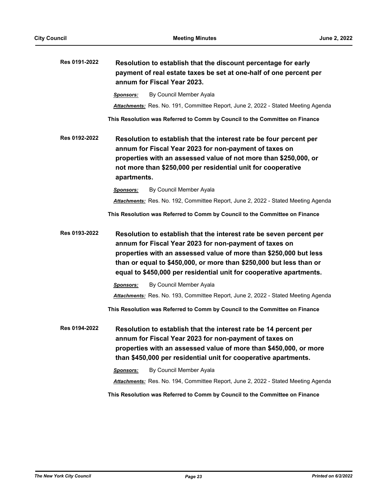| Res 0191-2022 | Resolution to establish that the discount percentage for early<br>payment of real estate taxes be set at one-half of one percent per<br>annum for Fiscal Year 2023.                                                                                                                                                                              |
|---------------|--------------------------------------------------------------------------------------------------------------------------------------------------------------------------------------------------------------------------------------------------------------------------------------------------------------------------------------------------|
|               | By Council Member Ayala<br>Sponsors:                                                                                                                                                                                                                                                                                                             |
|               | Attachments: Res. No. 191, Committee Report, June 2, 2022 - Stated Meeting Agenda                                                                                                                                                                                                                                                                |
|               | This Resolution was Referred to Comm by Council to the Committee on Finance                                                                                                                                                                                                                                                                      |
| Res 0192-2022 | Resolution to establish that the interest rate be four percent per<br>annum for Fiscal Year 2023 for non-payment of taxes on<br>properties with an assessed value of not more than \$250,000, or<br>not more than \$250,000 per residential unit for cooperative<br>apartments.                                                                  |
|               | By Council Member Ayala<br>Sponsors:                                                                                                                                                                                                                                                                                                             |
|               | Attachments: Res. No. 192, Committee Report, June 2, 2022 - Stated Meeting Agenda                                                                                                                                                                                                                                                                |
|               | This Resolution was Referred to Comm by Council to the Committee on Finance                                                                                                                                                                                                                                                                      |
| Res 0193-2022 | Resolution to establish that the interest rate be seven percent per<br>annum for Fiscal Year 2023 for non-payment of taxes on<br>properties with an assessed value of more than \$250,000 but less<br>than or equal to \$450,000, or more than \$250,000 but less than or<br>equal to \$450,000 per residential unit for cooperative apartments. |
|               | By Council Member Ayala<br>Sponsors:                                                                                                                                                                                                                                                                                                             |
|               | Attachments: Res. No. 193, Committee Report, June 2, 2022 - Stated Meeting Agenda                                                                                                                                                                                                                                                                |
|               | This Resolution was Referred to Comm by Council to the Committee on Finance                                                                                                                                                                                                                                                                      |
| Res 0194-2022 | Resolution to establish that the interest rate be 14 percent per<br>annum for Fiscal Year 2023 for non-payment of taxes on<br>properties with an assessed value of more than \$450,000, or more<br>than \$450,000 per residential unit for cooperative apartments.                                                                               |
|               | By Council Member Ayala<br>Sponsors:                                                                                                                                                                                                                                                                                                             |
|               | Attachments: Res. No. 194, Committee Report, June 2, 2022 - Stated Meeting Agenda                                                                                                                                                                                                                                                                |
|               | This Resolution was Referred to Comm by Council to the Committee on Finance                                                                                                                                                                                                                                                                      |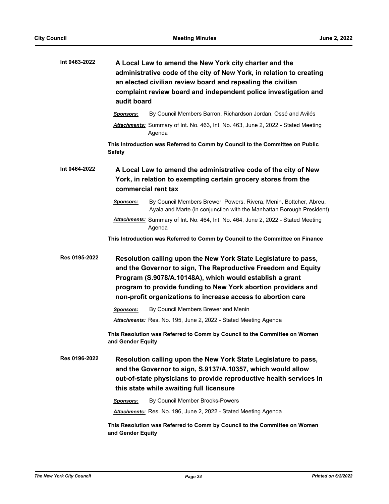| A Local Law to amend the New York city charter and the<br>administrative code of the city of New York, in relation to creating<br>an elected civilian review board and repealing the civilian<br>complaint review board and independent police investigation and<br>audit board                                                                                                                                                                                              |
|------------------------------------------------------------------------------------------------------------------------------------------------------------------------------------------------------------------------------------------------------------------------------------------------------------------------------------------------------------------------------------------------------------------------------------------------------------------------------|
| By Council Members Barron, Richardson Jordan, Ossé and Avilés<br><b>Sponsors:</b>                                                                                                                                                                                                                                                                                                                                                                                            |
| Attachments: Summary of Int. No. 463, Int. No. 463, June 2, 2022 - Stated Meeting<br>Agenda                                                                                                                                                                                                                                                                                                                                                                                  |
| This Introduction was Referred to Comm by Council to the Committee on Public<br><b>Safety</b>                                                                                                                                                                                                                                                                                                                                                                                |
| A Local Law to amend the administrative code of the city of New<br>York, in relation to exempting certain grocery stores from the<br>commercial rent tax                                                                                                                                                                                                                                                                                                                     |
| By Council Members Brewer, Powers, Rivera, Menin, Bottcher, Abreu,<br>Sponsors:<br>Ayala and Marte (in conjunction with the Manhattan Borough President)                                                                                                                                                                                                                                                                                                                     |
| Attachments: Summary of Int. No. 464, Int. No. 464, June 2, 2022 - Stated Meeting<br>Agenda                                                                                                                                                                                                                                                                                                                                                                                  |
| This Introduction was Referred to Comm by Council to the Committee on Finance                                                                                                                                                                                                                                                                                                                                                                                                |
| Resolution calling upon the New York State Legislature to pass,<br>and the Governor to sign, The Reproductive Freedom and Equity<br>Program (S.9078/A.10148A), which would establish a grant<br>program to provide funding to New York abortion providers and<br>non-profit organizations to increase access to abortion care                                                                                                                                                |
| By Council Members Brewer and Menin<br><b>Sponsors:</b>                                                                                                                                                                                                                                                                                                                                                                                                                      |
| Attachments: Res. No. 195, June 2, 2022 - Stated Meeting Agenda                                                                                                                                                                                                                                                                                                                                                                                                              |
| This Resolution was Referred to Comm by Council to the Committee on Women<br>and Gender Equity                                                                                                                                                                                                                                                                                                                                                                               |
| Resolution calling upon the New York State Legislature to pass,<br>and the Governor to sign, S.9137/A.10357, which would allow<br>out-of-state physicians to provide reproductive health services in<br>this state while awaiting full licensure<br>By Council Member Brooks-Powers<br><b>Sponsors:</b><br>Attachments: Res. No. 196, June 2, 2022 - Stated Meeting Agenda<br>This Resolution was Referred to Comm by Council to the Committee on Women<br>and Gender Equity |
|                                                                                                                                                                                                                                                                                                                                                                                                                                                                              |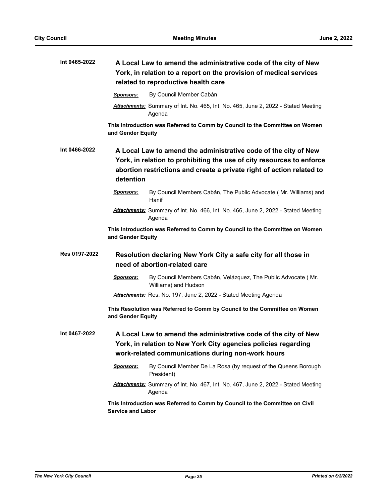| Int 0465-2022 |                                                                                                  | A Local Law to amend the administrative code of the city of New<br>York, in relation to a report on the provision of medical services<br>related to reproductive health care                                      |
|---------------|--------------------------------------------------------------------------------------------------|-------------------------------------------------------------------------------------------------------------------------------------------------------------------------------------------------------------------|
|               | <b>Sponsors:</b>                                                                                 | By Council Member Cabán                                                                                                                                                                                           |
|               |                                                                                                  | Attachments: Summary of Int. No. 465, Int. No. 465, June 2, 2022 - Stated Meeting<br>Agenda                                                                                                                       |
|               | and Gender Equity                                                                                | This Introduction was Referred to Comm by Council to the Committee on Women                                                                                                                                       |
| Int 0466-2022 |                                                                                                  | A Local Law to amend the administrative code of the city of New<br>York, in relation to prohibiting the use of city resources to enforce<br>abortion restrictions and create a private right of action related to |
|               | detention                                                                                        |                                                                                                                                                                                                                   |
|               | <u>Sponsors:</u>                                                                                 | By Council Members Cabán, The Public Advocate (Mr. Williams) and<br>Hanif                                                                                                                                         |
|               |                                                                                                  | Attachments: Summary of Int. No. 466, Int. No. 466, June 2, 2022 - Stated Meeting<br>Agenda                                                                                                                       |
|               | and Gender Equity                                                                                | This Introduction was Referred to Comm by Council to the Committee on Women                                                                                                                                       |
| Res 0197-2022 | Resolution declaring New York City a safe city for all those in<br>need of abortion-related care |                                                                                                                                                                                                                   |
|               | <u>Sponsors:</u>                                                                                 | By Council Members Cabán, Velázquez, The Public Advocate (Mr.<br>Williams) and Hudson                                                                                                                             |
|               |                                                                                                  | Attachments: Res. No. 197, June 2, 2022 - Stated Meeting Agenda                                                                                                                                                   |
|               | and Gender Equity                                                                                | This Resolution was Referred to Comm by Council to the Committee on Women                                                                                                                                         |
| Int 0467-2022 |                                                                                                  | A Local Law to amend the administrative code of the city of New<br>York, in relation to New York City agencies policies regarding<br>work-related communications during non-work hours                            |
|               | Sponsors:                                                                                        | By Council Member De La Rosa (by request of the Queens Borough<br>President)                                                                                                                                      |
|               |                                                                                                  | Attachments: Summary of Int. No. 467, Int. No. 467, June 2, 2022 - Stated Meeting<br>Agenda                                                                                                                       |
|               | <b>Service and Labor</b>                                                                         | This Introduction was Referred to Comm by Council to the Committee on Civil                                                                                                                                       |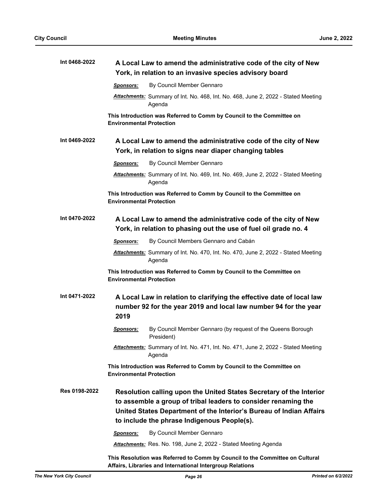| Int 0468-2022 | A Local Law to amend the administrative code of the city of New<br>York, in relation to an invasive species advisory board                                                                                                                                  |  |
|---------------|-------------------------------------------------------------------------------------------------------------------------------------------------------------------------------------------------------------------------------------------------------------|--|
|               | By Council Member Gennaro<br><b>Sponsors:</b>                                                                                                                                                                                                               |  |
|               | Attachments: Summary of Int. No. 468, Int. No. 468, June 2, 2022 - Stated Meeting<br>Agenda                                                                                                                                                                 |  |
|               | This Introduction was Referred to Comm by Council to the Committee on<br><b>Environmental Protection</b>                                                                                                                                                    |  |
| Int 0469-2022 | A Local Law to amend the administrative code of the city of New<br>York, in relation to signs near diaper changing tables                                                                                                                                   |  |
|               | By Council Member Gennaro<br><b>Sponsors:</b>                                                                                                                                                                                                               |  |
|               | Attachments: Summary of Int. No. 469, Int. No. 469, June 2, 2022 - Stated Meeting<br>Agenda                                                                                                                                                                 |  |
|               | This Introduction was Referred to Comm by Council to the Committee on<br><b>Environmental Protection</b>                                                                                                                                                    |  |
| Int 0470-2022 | A Local Law to amend the administrative code of the city of New<br>York, in relation to phasing out the use of fuel oil grade no. 4                                                                                                                         |  |
|               | By Council Members Gennaro and Cabán<br>Sponsors:                                                                                                                                                                                                           |  |
|               | Attachments: Summary of Int. No. 470, Int. No. 470, June 2, 2022 - Stated Meeting<br>Agenda                                                                                                                                                                 |  |
|               | This Introduction was Referred to Comm by Council to the Committee on<br><b>Environmental Protection</b>                                                                                                                                                    |  |
| Int 0471-2022 | A Local Law in relation to clarifying the effective date of local law<br>number 92 for the year 2019 and local law number 94 for the year<br>2019                                                                                                           |  |
|               | By Council Member Gennaro (by request of the Queens Borough<br><u>Sponsors:</u><br>President)                                                                                                                                                               |  |
|               | Attachments: Summary of Int. No. 471, Int. No. 471, June 2, 2022 - Stated Meeting<br>Agenda                                                                                                                                                                 |  |
|               | This Introduction was Referred to Comm by Council to the Committee on<br><b>Environmental Protection</b>                                                                                                                                                    |  |
| Res 0198-2022 | Resolution calling upon the United States Secretary of the Interior<br>to assemble a group of tribal leaders to consider renaming the<br>United States Department of the Interior's Bureau of Indian Affairs<br>to include the phrase Indigenous People(s). |  |
|               | By Council Member Gennaro<br>Sponsors:                                                                                                                                                                                                                      |  |
|               | Attachments: Res. No. 198, June 2, 2022 - Stated Meeting Agenda                                                                                                                                                                                             |  |
|               | This Resolution was Referred to Comm by Council to the Committee on Cultural<br>Affairs, Libraries and International Intergroup Relations                                                                                                                   |  |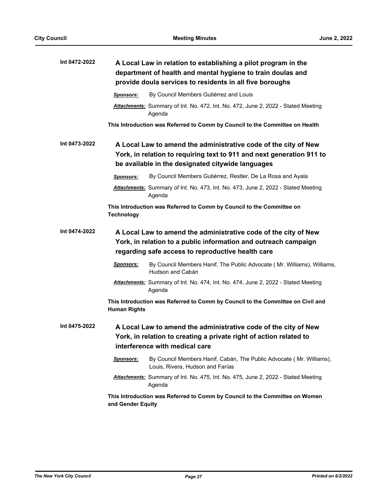| Int 0472-2022 | A Local Law in relation to establishing a pilot program in the<br>department of health and mental hygiene to train doulas and<br>provide doula services to residents in all five boroughs     |
|---------------|-----------------------------------------------------------------------------------------------------------------------------------------------------------------------------------------------|
|               | By Council Members Gutiérrez and Louis<br>Sponsors:                                                                                                                                           |
|               | <b>Attachments:</b> Summary of Int. No. 472, Int. No. 472, June 2, 2022 - Stated Meeting<br>Agenda                                                                                            |
|               | This Introduction was Referred to Comm by Council to the Committee on Health                                                                                                                  |
| Int 0473-2022 | A Local Law to amend the administrative code of the city of New<br>York, in relation to requiring text to 911 and next generation 911 to<br>be available in the designated citywide languages |
|               | By Council Members Gutiérrez, Restler, De La Rosa and Ayala<br><b>Sponsors:</b>                                                                                                               |
|               | Attachments: Summary of Int. No. 473, Int. No. 473, June 2, 2022 - Stated Meeting<br>Agenda                                                                                                   |
|               | This Introduction was Referred to Comm by Council to the Committee on<br><b>Technology</b>                                                                                                    |
| Int 0474-2022 | A Local Law to amend the administrative code of the city of New<br>York, in relation to a public information and outreach campaign<br>regarding safe access to reproductive health care       |
|               | By Council Members Hanif, The Public Advocate ( Mr. Williams), Williams,<br>Sponsors:<br>Hudson and Cabán                                                                                     |
|               | Attachments: Summary of Int. No. 474, Int. No. 474, June 2, 2022 - Stated Meeting<br>Agenda                                                                                                   |
|               | This Introduction was Referred to Comm by Council to the Committee on Civil and<br><b>Human Rights</b>                                                                                        |
| Int 0475-2022 | A Local Law to amend the administrative code of the city of New<br>York, in relation to creating a private right of action related to<br>interference with medical care                       |
|               | <b>Sponsors:</b><br>By Council Members Hanif, Cabán, The Public Advocate (Mr. Williams),<br>Louis, Rivera, Hudson and Farías                                                                  |
|               | <b>Attachments:</b> Summary of Int. No. 475, Int. No. 475, June 2, 2022 - Stated Meeting<br>Agenda                                                                                            |
|               | This Introduction was Referred to Comm by Council to the Committee on Women<br>and Gender Equity                                                                                              |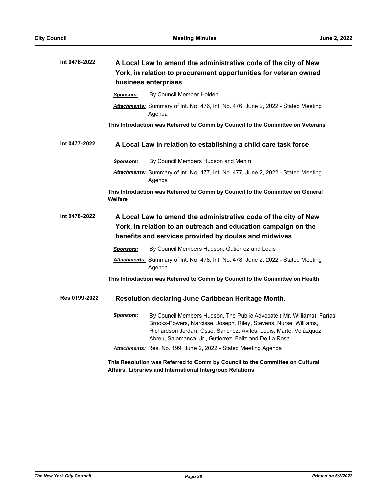| Int 0476-2022 |                                                                                                                                                                                            | A Local Law to amend the administrative code of the city of New<br>York, in relation to procurement opportunities for veteran owned<br>business enterprises                                                                                                                |
|---------------|--------------------------------------------------------------------------------------------------------------------------------------------------------------------------------------------|----------------------------------------------------------------------------------------------------------------------------------------------------------------------------------------------------------------------------------------------------------------------------|
|               | <b>Sponsors:</b>                                                                                                                                                                           | By Council Member Holden                                                                                                                                                                                                                                                   |
|               |                                                                                                                                                                                            | Attachments: Summary of Int. No. 476, Int. No. 476, June 2, 2022 - Stated Meeting<br>Agenda                                                                                                                                                                                |
|               |                                                                                                                                                                                            | This Introduction was Referred to Comm by Council to the Committee on Veterans                                                                                                                                                                                             |
| Int 0477-2022 |                                                                                                                                                                                            | A Local Law in relation to establishing a child care task force                                                                                                                                                                                                            |
|               | Sponsors:                                                                                                                                                                                  | By Council Members Hudson and Menin                                                                                                                                                                                                                                        |
|               |                                                                                                                                                                                            | Attachments: Summary of Int. No. 477, Int. No. 477, June 2, 2022 - Stated Meeting<br>Agenda                                                                                                                                                                                |
|               | Welfare                                                                                                                                                                                    | This Introduction was Referred to Comm by Council to the Committee on General                                                                                                                                                                                              |
| Int 0478-2022 | A Local Law to amend the administrative code of the city of New<br>York, in relation to an outreach and education campaign on the<br>benefits and services provided by doulas and midwives |                                                                                                                                                                                                                                                                            |
|               | <b>Sponsors:</b>                                                                                                                                                                           | By Council Members Hudson, Gutiérrez and Louis                                                                                                                                                                                                                             |
|               |                                                                                                                                                                                            | <b>Attachments:</b> Summary of Int. No. 478, Int. No. 478, June 2, 2022 - Stated Meeting<br>Agenda                                                                                                                                                                         |
|               |                                                                                                                                                                                            | This Introduction was Referred to Comm by Council to the Committee on Health                                                                                                                                                                                               |
| Res 0199-2022 |                                                                                                                                                                                            | Resolution declaring June Caribbean Heritage Month.                                                                                                                                                                                                                        |
|               | <u>Sponsors:</u>                                                                                                                                                                           | By Council Members Hudson, The Public Advocate (Mr. Williams), Farías,<br>Brooks-Powers, Narcisse, Joseph, Riley, Stevens, Nurse, Williams,<br>Richardson Jordan, Ossé, Sanchez, Avilés, Louis, Marte, Velázquez,<br>Abreu, Salamanca Jr., Gutiérrez, Feliz and De La Rosa |
|               |                                                                                                                                                                                            | Attachments: Res. No. 199, June 2, 2022 - Stated Meeting Agenda                                                                                                                                                                                                            |
|               |                                                                                                                                                                                            | This Resolution was Referred to Comm by Council to the Committee on Cultural<br>Affairs, Libraries and International Intergroup Relations                                                                                                                                  |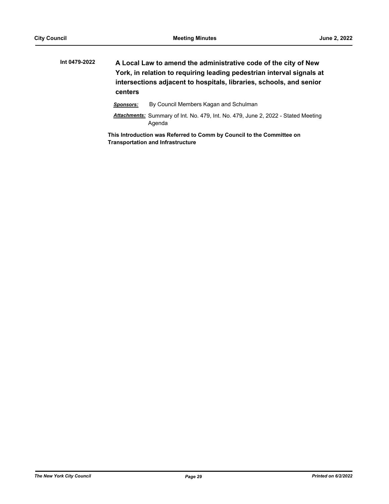**A Local Law to amend the administrative code of the city of New York, in relation to requiring leading pedestrian interval signals at intersections adjacent to hospitals, libraries, schools, and senior centers Int 0479-2022**

*Sponsors:* By Council Members Kagan and Schulman

*Attachments:* Summary of Int. No. 479, Int. No. 479, June 2, 2022 - Stated Meeting Agenda

**This Introduction was Referred to Comm by Council to the Committee on Transportation and Infrastructure**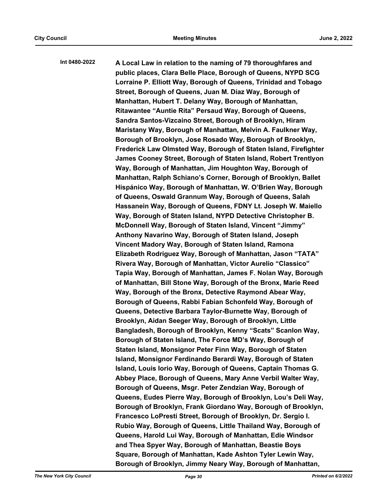**A Local Law in relation to the naming of 79 thoroughfares and public places, Clara Belle Place, Borough of Queens, NYPD SCG Lorraine P. Elliott Way, Borough of Queens, Trinidad and Tobago Street, Borough of Queens, Juan M. Díaz Way, Borough of Manhattan, Hubert T. Delany Way, Borough of Manhattan, Ritawantee "Auntie Rita" Persaud Way, Borough of Queens, Sandra Santos-Vizcaino Street, Borough of Brooklyn, Hiram Maristany Way, Borough of Manhattan, Melvin A. Faulkner Way, Borough of Brooklyn, Jose Rosado Way, Borough of Brooklyn, Frederick Law Olmsted Way, Borough of Staten Island, Firefighter James Cooney Street, Borough of Staten Island, Robert Trentlyon Way, Borough of Manhattan, Jim Houghton Way, Borough of Manhattan, Ralph Schiano's Corner, Borough of Brooklyn, Ballet Hispánico Way, Borough of Manhattan, W. O'Brien Way, Borough of Queens, Oswald Grannum Way, Borough of Queens, Salah Hassanein Way, Borough of Queens, FDNY Lt. Joseph W. Maiello Way, Borough of Staten Island, NYPD Detective Christopher B. McDonnell Way, Borough of Staten Island, Vincent "Jimmy" Anthony Navarino Way, Borough of Staten Island, Joseph Vincent Madory Way, Borough of Staten Island, Ramona Elizabeth Rodriguez Way, Borough of Manhattan, Jason "TATA" Rivera Way, Borough of Manhattan, Victor Aurelio "Classico" Tapia Way, Borough of Manhattan, James F. Nolan Way, Borough of Manhattan, Bill Stone Way, Borough of the Bronx, Marie Reed Way, Borough of the Bronx, Detective Raymond Abear Way, Borough of Queens, Rabbi Fabian Schonfeld Way, Borough of Queens, Detective Barbara Taylor-Burnette Way, Borough of Brooklyn, Aidan Seeger Way, Borough of Brooklyn, Little Bangladesh, Borough of Brooklyn, Kenny "Scats" Scanlon Way, Borough of Staten Island, The Force MD's Way, Borough of Staten Island, Monsignor Peter Finn Way, Borough of Staten Island, Monsignor Ferdinando Berardi Way, Borough of Staten Island, Louis Iorio Way, Borough of Queens, Captain Thomas G. Abbey Place, Borough of Queens, Mary Anne Verbil Walter Way, Borough of Queens, Msgr. Peter Zendzian Way, Borough of Queens, Eudes Pierre Way, Borough of Brooklyn, Lou's Deli Way, Borough of Brooklyn, Frank Giordano Way, Borough of Brooklyn, Francesco LoPresti Street, Borough of Brooklyn, Dr. Sergio I. Rubio Way, Borough of Queens, Little Thailand Way, Borough of Queens, Harold Lui Way, Borough of Manhattan, Edie Windsor and Thea Spyer Way, Borough of Manhattan, Beastie Boys Square, Borough of Manhattan, Kade Ashton Tyler Lewin Way, Borough of Brooklyn, Jimmy Neary Way, Borough of Manhattan, Int 0480-2022**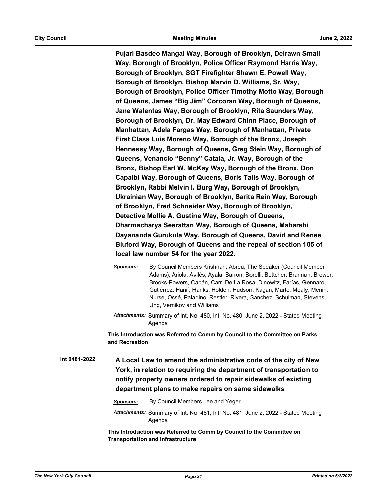**Pujari Basdeo Mangal Way, Borough of Brooklyn, Delrawn Small Way, Borough of Brooklyn, Police Officer Raymond Harris Way, Borough of Brooklyn, SGT Firefighter Shawn E. Powell Way, Borough of Brooklyn, Bishop Marvin D. Williams, Sr. Way, Borough of Brooklyn, Police Officer Timothy Motto Way, Borough of Queens, James "Big Jim" Corcoran Way, Borough of Queens, Jane Walentas Way, Borough of Brooklyn, Rita Saunders Way, Borough of Brooklyn, Dr. May Edward Chinn Place, Borough of Manhattan, Adela Fargas Way, Borough of Manhattan, Private First Class Luis Moreno Way, Borough of the Bronx, Joseph Hennessy Way, Borough of Queens, Greg Stein Way, Borough of Queens, Venancio "Benny" Catala, Jr. Way, Borough of the Bronx, Bishop Earl W. McKay Way, Borough of the Bronx, Don Capalbi Way, Borough of Queens, Boris Talis Way, Borough of Brooklyn, Rabbi Melvin I. Burg Way, Borough of Brooklyn, Ukrainian Way, Borough of Brooklyn, Sarita Rein Way, Borough of Brooklyn, Fred Schneider Way, Borough of Brooklyn, Detective Mollie A. Gustine Way, Borough of Queens, Dharmacharya Seerattan Way, Borough of Queens, Maharshi Dayananda Gurukula Way, Borough of Queens, David and Renee Bluford Way, Borough of Queens and the repeal of section 105 of local law number 54 for the year 2022.**

- *Sponsors:* By Council Members Krishnan, Abreu, The Speaker (Council Member Adams), Ariola, Avilés, Ayala, Barron, Borelli, Bottcher, Brannan, Brewer, Brooks-Powers, Cabán, Carr, De La Rosa, Dinowitz, Farías, Gennaro, Gutiérrez, Hanif, Hanks, Holden, Hudson, Kagan, Marte, Mealy, Menin, Nurse, Ossé, Paladino, Restler, Rivera, Sanchez, Schulman, Stevens, Ung, Vernikov and Williams
- *Attachments:* Summary of Int. No. 480, Int. No. 480, June 2, 2022 Stated Meeting Agenda

**This Introduction was Referred to Comm by Council to the Committee on Parks and Recreation**

**A Local Law to amend the administrative code of the city of New York, in relation to requiring the department of transportation to notify property owners ordered to repair sidewalks of existing department plans to make repairs on same sidewalks Int 0481-2022**

*Sponsors:* By Council Members Lee and Yeger

*Attachments:* Summary of Int. No. 481, Int. No. 481, June 2, 2022 - Stated Meeting Agenda

**This Introduction was Referred to Comm by Council to the Committee on Transportation and Infrastructure**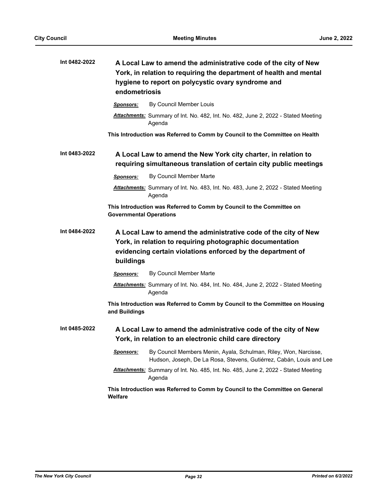| Int 0482-2022 | A Local Law to amend the administrative code of the city of New<br>York, in relation to requiring the department of health and mental<br>hygiene to report on polycystic ovary syndrome and<br>endometriosis |  |
|---------------|--------------------------------------------------------------------------------------------------------------------------------------------------------------------------------------------------------------|--|
|               | By Council Member Louis<br>Sponsors:                                                                                                                                                                         |  |
|               | Attachments: Summary of Int. No. 482, Int. No. 482, June 2, 2022 - Stated Meeting<br>Agenda                                                                                                                  |  |
|               | This Introduction was Referred to Comm by Council to the Committee on Health                                                                                                                                 |  |
| Int 0483-2022 | A Local Law to amend the New York city charter, in relation to<br>requiring simultaneous translation of certain city public meetings                                                                         |  |
|               | By Council Member Marte<br>Sponsors:                                                                                                                                                                         |  |
|               | Attachments: Summary of Int. No. 483, Int. No. 483, June 2, 2022 - Stated Meeting<br>Agenda                                                                                                                  |  |
|               | This Introduction was Referred to Comm by Council to the Committee on<br><b>Governmental Operations</b>                                                                                                      |  |
| Int 0484-2022 | A Local Law to amend the administrative code of the city of New<br>York, in relation to requiring photographic documentation<br>evidencing certain violations enforced by the department of<br>buildings     |  |
|               | By Council Member Marte<br><b>Sponsors:</b>                                                                                                                                                                  |  |
|               | Attachments: Summary of Int. No. 484, Int. No. 484, June 2, 2022 - Stated Meeting<br>Agenda                                                                                                                  |  |
|               | This Introduction was Referred to Comm by Council to the Committee on Housing<br>and Buildings                                                                                                               |  |
| Int 0485-2022 | A Local Law to amend the administrative code of the city of New<br>York, in relation to an electronic child care directory                                                                                   |  |
|               | By Council Members Menin, Ayala, Schulman, Riley, Won, Narcisse,<br><u>Sponsors:</u><br>Hudson, Joseph, De La Rosa, Stevens, Gutiérrez, Cabán, Louis and Lee                                                 |  |
|               | Attachments: Summary of Int. No. 485, Int. No. 485, June 2, 2022 - Stated Meeting<br>Agenda                                                                                                                  |  |
|               | This Introduction was Referred to Comm by Council to the Committee on General<br>Welfare                                                                                                                     |  |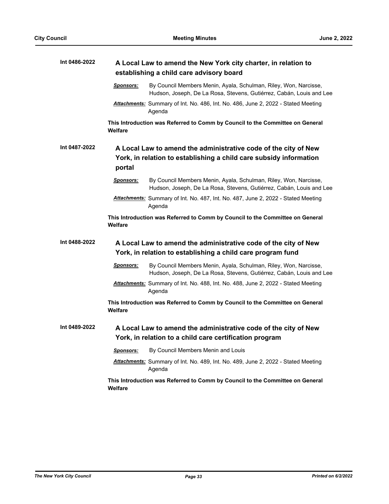| Int 0486-2022 | A Local Law to amend the New York city charter, in relation to<br>establishing a child care advisory board                                                   |  |
|---------------|--------------------------------------------------------------------------------------------------------------------------------------------------------------|--|
|               | By Council Members Menin, Ayala, Schulman, Riley, Won, Narcisse,<br><b>Sponsors:</b><br>Hudson, Joseph, De La Rosa, Stevens, Gutiérrez, Cabán, Louis and Lee |  |
|               | Attachments: Summary of Int. No. 486, Int. No. 486, June 2, 2022 - Stated Meeting<br>Agenda                                                                  |  |
|               | This Introduction was Referred to Comm by Council to the Committee on General<br>Welfare                                                                     |  |
| Int 0487-2022 | A Local Law to amend the administrative code of the city of New<br>York, in relation to establishing a child care subsidy information<br>portal              |  |
|               | By Council Members Menin, Ayala, Schulman, Riley, Won, Narcisse,<br><u>Sponsors:</u><br>Hudson, Joseph, De La Rosa, Stevens, Gutiérrez, Cabán, Louis and Lee |  |
|               | Attachments: Summary of Int. No. 487, Int. No. 487, June 2, 2022 - Stated Meeting<br>Agenda                                                                  |  |
|               | This Introduction was Referred to Comm by Council to the Committee on General<br>Welfare                                                                     |  |
| Int 0488-2022 | A Local Law to amend the administrative code of the city of New<br>York, in relation to establishing a child care program fund                               |  |
|               | <b>Sponsors:</b><br>By Council Members Menin, Ayala, Schulman, Riley, Won, Narcisse,<br>Hudson, Joseph, De La Rosa, Stevens, Gutiérrez, Cabán, Louis and Lee |  |
|               | Attachments: Summary of Int. No. 488, Int. No. 488, June 2, 2022 - Stated Meeting<br>Agenda                                                                  |  |
|               | This Introduction was Referred to Comm by Council to the Committee on General<br>Welfare                                                                     |  |
| Int 0489-2022 | A Local Law to amend the administrative code of the city of New<br>York, in relation to a child care certification program                                   |  |
|               | By Council Members Menin and Louis<br><u>Sponsors:</u>                                                                                                       |  |
|               | Attachments: Summary of Int. No. 489, Int. No. 489, June 2, 2022 - Stated Meeting<br>Agenda                                                                  |  |
|               | This Introduction was Referred to Comm by Council to the Committee on General<br>Welfare                                                                     |  |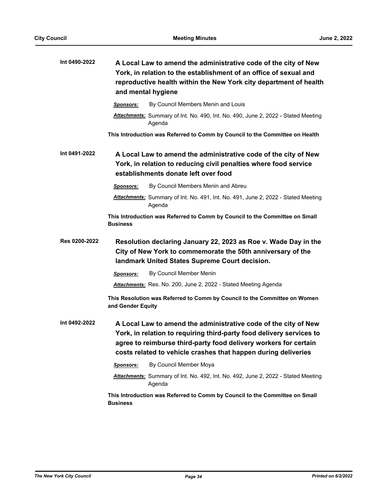| Int 0490-2022 | A Local Law to amend the administrative code of the city of New<br>York, in relation to the establishment of an office of sexual and<br>reproductive health within the New York city department of health<br>and mental hygiene                                               |
|---------------|-------------------------------------------------------------------------------------------------------------------------------------------------------------------------------------------------------------------------------------------------------------------------------|
|               | By Council Members Menin and Louis<br><b>Sponsors:</b>                                                                                                                                                                                                                        |
|               | Attachments: Summary of Int. No. 490, Int. No. 490, June 2, 2022 - Stated Meeting<br>Agenda                                                                                                                                                                                   |
|               | This Introduction was Referred to Comm by Council to the Committee on Health                                                                                                                                                                                                  |
| Int 0491-2022 | A Local Law to amend the administrative code of the city of New<br>York, in relation to reducing civil penalties where food service<br>establishments donate left over food                                                                                                   |
|               | By Council Members Menin and Abreu<br><b>Sponsors:</b>                                                                                                                                                                                                                        |
|               | Attachments: Summary of Int. No. 491, Int. No. 491, June 2, 2022 - Stated Meeting<br>Agenda                                                                                                                                                                                   |
|               | This Introduction was Referred to Comm by Council to the Committee on Small<br><b>Business</b>                                                                                                                                                                                |
| Res 0200-2022 | Resolution declaring January 22, 2023 as Roe v. Wade Day in the<br>City of New York to commemorate the 50th anniversary of the<br>landmark United States Supreme Court decision.                                                                                              |
|               | By Council Member Menin<br><b>Sponsors:</b>                                                                                                                                                                                                                                   |
|               | Attachments: Res. No. 200, June 2, 2022 - Stated Meeting Agenda                                                                                                                                                                                                               |
|               | This Resolution was Referred to Comm by Council to the Committee on Women<br>and Gender Equity                                                                                                                                                                                |
| Int 0492-2022 | A Local Law to amend the administrative code of the city of New<br>York, in relation to requiring third-party food delivery services to<br>agree to reimburse third-party food delivery workers for certain<br>costs related to vehicle crashes that happen during deliveries |
|               | By Council Member Moya<br><b>Sponsors:</b>                                                                                                                                                                                                                                    |
|               | Attachments: Summary of Int. No. 492, Int. No. 492, June 2, 2022 - Stated Meeting<br>Agenda                                                                                                                                                                                   |
|               | This Introduction was Referred to Comm by Council to the Committee on Small<br><b>Business</b>                                                                                                                                                                                |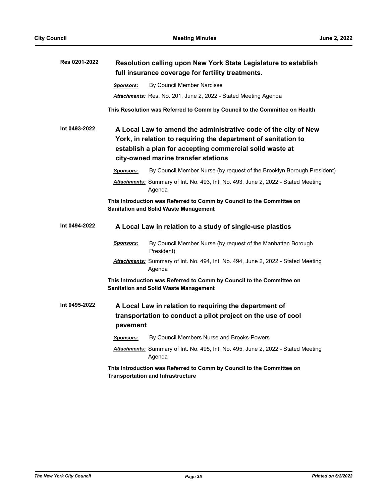| Res 0201-2022 | Resolution calling upon New York State Legislature to establish<br>full insurance coverage for fertility treatments.                                                                                                                 |
|---------------|--------------------------------------------------------------------------------------------------------------------------------------------------------------------------------------------------------------------------------------|
|               | By Council Member Narcisse<br><b>Sponsors:</b>                                                                                                                                                                                       |
|               | Attachments: Res. No. 201, June 2, 2022 - Stated Meeting Agenda                                                                                                                                                                      |
|               | This Resolution was Referred to Comm by Council to the Committee on Health                                                                                                                                                           |
| Int 0493-2022 | A Local Law to amend the administrative code of the city of New<br>York, in relation to requiring the department of sanitation to<br>establish a plan for accepting commercial solid waste at<br>city-owned marine transfer stations |
|               | By Council Member Nurse (by request of the Brooklyn Borough President)<br><b>Sponsors:</b>                                                                                                                                           |
|               | Attachments: Summary of Int. No. 493, Int. No. 493, June 2, 2022 - Stated Meeting<br>Agenda                                                                                                                                          |
|               | This Introduction was Referred to Comm by Council to the Committee on<br><b>Sanitation and Solid Waste Management</b>                                                                                                                |
| Int 0494-2022 | A Local Law in relation to a study of single-use plastics                                                                                                                                                                            |
|               | Sponsors:<br>By Council Member Nurse (by request of the Manhattan Borough<br>President)                                                                                                                                              |
|               | Attachments: Summary of Int. No. 494, Int. No. 494, June 2, 2022 - Stated Meeting<br>Agenda                                                                                                                                          |
|               | This Introduction was Referred to Comm by Council to the Committee on<br><b>Sanitation and Solid Waste Management</b>                                                                                                                |
| Int 0495-2022 | A Local Law in relation to requiring the department of<br>transportation to conduct a pilot project on the use of cool<br>pavement                                                                                                   |
|               | By Council Members Nurse and Brooks-Powers<br>Sponsors:                                                                                                                                                                              |
|               | Attachments: Summary of Int. No. 495, Int. No. 495, June 2, 2022 - Stated Meeting<br>Agenda                                                                                                                                          |
|               | This Introduction was Referred to Comm by Council to the Committee on<br><b>Transportation and Infrastructure</b>                                                                                                                    |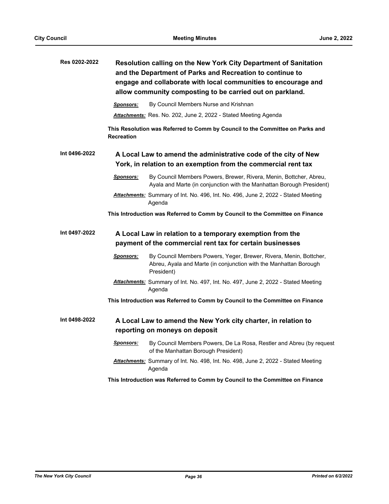| Res 0202-2022 |                                                                                                                                   | Resolution calling on the New York City Department of Sanitation<br>and the Department of Parks and Recreation to continue to<br>engage and collaborate with local communities to encourage and<br>allow community composting to be carried out on parkland. |
|---------------|-----------------------------------------------------------------------------------------------------------------------------------|--------------------------------------------------------------------------------------------------------------------------------------------------------------------------------------------------------------------------------------------------------------|
|               | <b>Sponsors:</b>                                                                                                                  | By Council Members Nurse and Krishnan                                                                                                                                                                                                                        |
|               |                                                                                                                                   | Attachments: Res. No. 202, June 2, 2022 - Stated Meeting Agenda                                                                                                                                                                                              |
|               | <b>Recreation</b>                                                                                                                 | This Resolution was Referred to Comm by Council to the Committee on Parks and                                                                                                                                                                                |
| Int 0496-2022 | A Local Law to amend the administrative code of the city of New<br>York, in relation to an exemption from the commercial rent tax |                                                                                                                                                                                                                                                              |
|               | <u>Sponsors:</u>                                                                                                                  | By Council Members Powers, Brewer, Rivera, Menin, Bottcher, Abreu,<br>Ayala and Marte (in conjunction with the Manhattan Borough President)                                                                                                                  |
|               |                                                                                                                                   | Attachments: Summary of Int. No. 496, Int. No. 496, June 2, 2022 - Stated Meeting<br>Agenda                                                                                                                                                                  |
|               |                                                                                                                                   | This Introduction was Referred to Comm by Council to the Committee on Finance                                                                                                                                                                                |
| Int 0497-2022 |                                                                                                                                   | A Local Law in relation to a temporary exemption from the                                                                                                                                                                                                    |
|               |                                                                                                                                   | payment of the commercial rent tax for certain businesses                                                                                                                                                                                                    |
|               | <u>Sponsors:</u>                                                                                                                  | By Council Members Powers, Yeger, Brewer, Rivera, Menin, Bottcher,<br>Abreu, Ayala and Marte (in conjunction with the Manhattan Borough<br>President)                                                                                                        |
|               |                                                                                                                                   | Attachments: Summary of Int. No. 497, Int. No. 497, June 2, 2022 - Stated Meeting<br>Agenda                                                                                                                                                                  |
|               |                                                                                                                                   | This Introduction was Referred to Comm by Council to the Committee on Finance                                                                                                                                                                                |
| Int 0498-2022 |                                                                                                                                   | A Local Law to amend the New York city charter, in relation to                                                                                                                                                                                               |
|               |                                                                                                                                   | reporting on moneys on deposit                                                                                                                                                                                                                               |
|               | <u>Sponsors:</u>                                                                                                                  | By Council Members Powers, De La Rosa, Restler and Abreu (by request<br>of the Manhattan Borough President)                                                                                                                                                  |
|               |                                                                                                                                   | Attachments: Summary of Int. No. 498, Int. No. 498, June 2, 2022 - Stated Meeting<br>Agenda                                                                                                                                                                  |
|               |                                                                                                                                   | This Introduction was Referred to Comm by Council to the Committee on Finance                                                                                                                                                                                |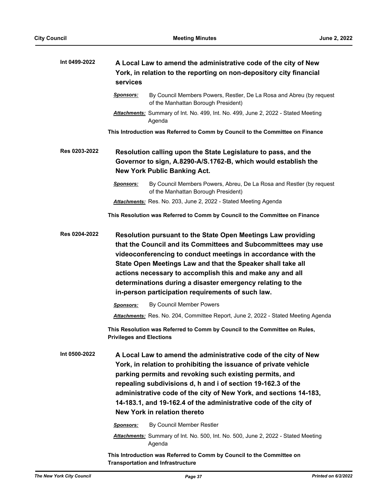| Int 0499-2022 | A Local Law to amend the administrative code of the city of New<br>York, in relation to the reporting on non-depository city financial<br>services                                                                                                                                                                                                                                                                                           |  |
|---------------|----------------------------------------------------------------------------------------------------------------------------------------------------------------------------------------------------------------------------------------------------------------------------------------------------------------------------------------------------------------------------------------------------------------------------------------------|--|
|               | By Council Members Powers, Restler, De La Rosa and Abreu (by request<br><u>Sponsors:</u><br>of the Manhattan Borough President)                                                                                                                                                                                                                                                                                                              |  |
|               | Attachments: Summary of Int. No. 499, Int. No. 499, June 2, 2022 - Stated Meeting<br>Agenda                                                                                                                                                                                                                                                                                                                                                  |  |
|               | This Introduction was Referred to Comm by Council to the Committee on Finance                                                                                                                                                                                                                                                                                                                                                                |  |
| Res 0203-2022 | Resolution calling upon the State Legislature to pass, and the<br>Governor to sign, A.8290-A/S.1762-B, which would establish the<br><b>New York Public Banking Act.</b>                                                                                                                                                                                                                                                                      |  |
|               | <b>Sponsors:</b><br>By Council Members Powers, Abreu, De La Rosa and Restler (by request<br>of the Manhattan Borough President)                                                                                                                                                                                                                                                                                                              |  |
|               | Attachments: Res. No. 203, June 2, 2022 - Stated Meeting Agenda                                                                                                                                                                                                                                                                                                                                                                              |  |
|               | This Resolution was Referred to Comm by Council to the Committee on Finance                                                                                                                                                                                                                                                                                                                                                                  |  |
| Res 0204-2022 | Resolution pursuant to the State Open Meetings Law providing<br>that the Council and its Committees and Subcommittees may use<br>videoconferencing to conduct meetings in accordance with the<br>State Open Meetings Law and that the Speaker shall take all<br>actions necessary to accomplish this and make any and all<br>determinations during a disaster emergency relating to the<br>in-person participation requirements of such law. |  |
|               | By Council Member Powers<br><b>Sponsors:</b>                                                                                                                                                                                                                                                                                                                                                                                                 |  |
|               | Attachments: Res. No. 204, Committee Report, June 2, 2022 - Stated Meeting Agenda                                                                                                                                                                                                                                                                                                                                                            |  |
|               | This Resolution was Referred to Comm by Council to the Committee on Rules,<br><b>Privileges and Elections</b>                                                                                                                                                                                                                                                                                                                                |  |
| Int 0500-2022 | A Local Law to amend the administrative code of the city of New<br>York, in relation to prohibiting the issuance of private vehicle<br>parking permits and revoking such existing permits, and<br>repealing subdivisions d, h and i of section 19-162.3 of the<br>administrative code of the city of New York, and sections 14-183,<br>14-183.1, and 19-162.4 of the administrative code of the city of<br>New York in relation thereto      |  |
|               | By Council Member Restler<br><b>Sponsors:</b>                                                                                                                                                                                                                                                                                                                                                                                                |  |
|               | <b>Attachments:</b> Summary of Int. No. 500, Int. No. 500, June 2, 2022 - Stated Meeting<br>Agenda                                                                                                                                                                                                                                                                                                                                           |  |
|               | This Introduction was Referred to Comm by Council to the Committee on<br><b>Transportation and Infrastructure</b>                                                                                                                                                                                                                                                                                                                            |  |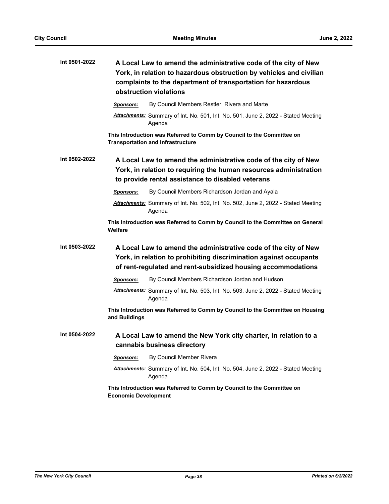| Int 0501-2022 |                             | A Local Law to amend the administrative code of the city of New<br>York, in relation to hazardous obstruction by vehicles and civilian<br>complaints to the department of transportation for hazardous<br>obstruction violations |
|---------------|-----------------------------|----------------------------------------------------------------------------------------------------------------------------------------------------------------------------------------------------------------------------------|
|               | <u>Sponsors:</u>            | By Council Members Restler, Rivera and Marte                                                                                                                                                                                     |
|               |                             | Attachments: Summary of Int. No. 501, Int. No. 501, June 2, 2022 - Stated Meeting<br>Agenda                                                                                                                                      |
|               |                             | This Introduction was Referred to Comm by Council to the Committee on<br><b>Transportation and Infrastructure</b>                                                                                                                |
| Int 0502-2022 |                             | A Local Law to amend the administrative code of the city of New<br>York, in relation to requiring the human resources administration<br>to provide rental assistance to disabled veterans                                        |
|               | <b>Sponsors:</b>            | By Council Members Richardson Jordan and Ayala                                                                                                                                                                                   |
|               |                             | Attachments: Summary of Int. No. 502, Int. No. 502, June 2, 2022 - Stated Meeting<br>Agenda                                                                                                                                      |
|               | Welfare                     | This Introduction was Referred to Comm by Council to the Committee on General                                                                                                                                                    |
| Int 0503-2022 |                             | A Local Law to amend the administrative code of the city of New<br>York, in relation to prohibiting discrimination against occupants<br>of rent-regulated and rent-subsidized housing accommodations                             |
|               | Sponsors:                   | By Council Members Richardson Jordan and Hudson                                                                                                                                                                                  |
|               |                             | Attachments: Summary of Int. No. 503, Int. No. 503, June 2, 2022 - Stated Meeting<br>Agenda                                                                                                                                      |
|               | and Buildings               | This Introduction was Referred to Comm by Council to the Committee on Housing                                                                                                                                                    |
| Int 0504-2022 |                             | A Local Law to amend the New York city charter, in relation to a                                                                                                                                                                 |
|               |                             | cannabis business directory                                                                                                                                                                                                      |
|               | Sponsors:                   | By Council Member Rivera                                                                                                                                                                                                         |
|               |                             | <b>Attachments:</b> Summary of Int. No. 504, Int. No. 504, June 2, 2022 - Stated Meeting<br>Agenda                                                                                                                               |
|               | <b>Economic Development</b> | This Introduction was Referred to Comm by Council to the Committee on                                                                                                                                                            |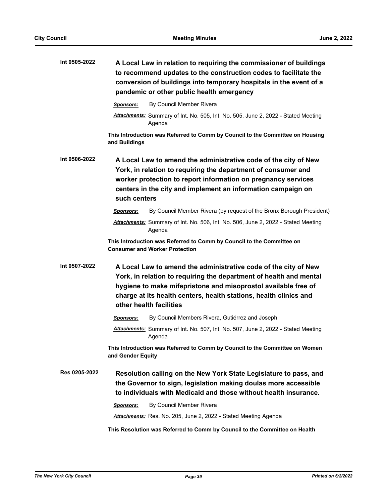| Int 0505-2022 | A Local Law in relation to requiring the commissioner of buildings<br>to recommend updates to the construction codes to facilitate the<br>conversion of buildings into temporary hospitals in the event of a<br>pandemic or other public health emergency                                               |
|---------------|---------------------------------------------------------------------------------------------------------------------------------------------------------------------------------------------------------------------------------------------------------------------------------------------------------|
|               | By Council Member Rivera<br>Sponsors:                                                                                                                                                                                                                                                                   |
|               | Attachments: Summary of Int. No. 505, Int. No. 505, June 2, 2022 - Stated Meeting<br>Agenda                                                                                                                                                                                                             |
|               | This Introduction was Referred to Comm by Council to the Committee on Housing<br>and Buildings                                                                                                                                                                                                          |
| Int 0506-2022 | A Local Law to amend the administrative code of the city of New<br>York, in relation to requiring the department of consumer and<br>worker protection to report information on pregnancy services<br>centers in the city and implement an information campaign on<br>such centers                       |
|               | By Council Member Rivera (by request of the Bronx Borough President)<br>Sponsors:                                                                                                                                                                                                                       |
|               | Attachments: Summary of Int. No. 506, Int. No. 506, June 2, 2022 - Stated Meeting<br>Agenda                                                                                                                                                                                                             |
|               | This Introduction was Referred to Comm by Council to the Committee on<br><b>Consumer and Worker Protection</b>                                                                                                                                                                                          |
| Int 0507-2022 | A Local Law to amend the administrative code of the city of New<br>York, in relation to requiring the department of health and mental<br>hygiene to make mifepristone and misoprostol available free of<br>charge at its health centers, health stations, health clinics and<br>other health facilities |
|               | By Council Members Rivera, Gutiérrez and Joseph<br>Sponsors:                                                                                                                                                                                                                                            |
|               | Attachments: Summary of Int. No. 507, Int. No. 507, June 2, 2022 - Stated Meeting<br>Agenda                                                                                                                                                                                                             |
|               | This Introduction was Referred to Comm by Council to the Committee on Women<br>and Gender Equity                                                                                                                                                                                                        |
| Res 0205-2022 | Resolution calling on the New York State Legislature to pass, and<br>the Governor to sign, legislation making doulas more accessible<br>to individuals with Medicaid and those without health insurance.                                                                                                |
|               | By Council Member Rivera<br><b>Sponsors:</b>                                                                                                                                                                                                                                                            |
|               | Attachments: Res. No. 205, June 2, 2022 - Stated Meeting Agenda                                                                                                                                                                                                                                         |
|               | This Resolution was Referred to Comm by Council to the Committee on Health                                                                                                                                                                                                                              |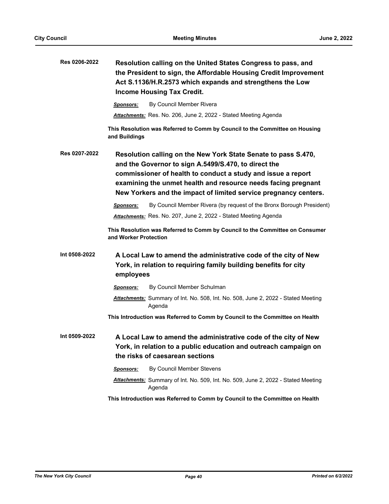| Res 0206-2022 | Resolution calling on the United States Congress to pass, and<br>the President to sign, the Affordable Housing Credit Improvement<br>Act S.1136/H.R.2573 which expands and strengthens the Low<br><b>Income Housing Tax Credit.</b>                                                                                         |
|---------------|-----------------------------------------------------------------------------------------------------------------------------------------------------------------------------------------------------------------------------------------------------------------------------------------------------------------------------|
|               | By Council Member Rivera<br><b>Sponsors:</b>                                                                                                                                                                                                                                                                                |
|               | <b>Attachments:</b> Res. No. 206, June 2, 2022 - Stated Meeting Agenda                                                                                                                                                                                                                                                      |
|               | This Resolution was Referred to Comm by Council to the Committee on Housing<br>and Buildings                                                                                                                                                                                                                                |
| Res 0207-2022 | Resolution calling on the New York State Senate to pass S.470,<br>and the Governor to sign A.5499/S.470, to direct the<br>commissioner of health to conduct a study and issue a report<br>examining the unmet health and resource needs facing pregnant<br>New Yorkers and the impact of limited service pregnancy centers. |
|               | By Council Member Rivera (by request of the Bronx Borough President)<br>Sponsors:                                                                                                                                                                                                                                           |
|               | Attachments: Res. No. 207, June 2, 2022 - Stated Meeting Agenda                                                                                                                                                                                                                                                             |
|               | This Resolution was Referred to Comm by Council to the Committee on Consumer<br>and Worker Protection                                                                                                                                                                                                                       |
| Int 0508-2022 | A Local Law to amend the administrative code of the city of New<br>York, in relation to requiring family building benefits for city<br>employees                                                                                                                                                                            |
|               | By Council Member Schulman<br><b>Sponsors:</b>                                                                                                                                                                                                                                                                              |
|               | Attachments: Summary of Int. No. 508, Int. No. 508, June 2, 2022 - Stated Meeting<br>Agenda                                                                                                                                                                                                                                 |
|               | This Introduction was Referred to Comm by Council to the Committee on Health                                                                                                                                                                                                                                                |
| Int 0509-2022 | A Local Law to amend the administrative code of the city of New<br>York, in relation to a public education and outreach campaign on<br>the risks of caesarean sections                                                                                                                                                      |
|               | By Council Member Stevens<br><b>Sponsors:</b>                                                                                                                                                                                                                                                                               |
|               | Attachments: Summary of Int. No. 509, Int. No. 509, June 2, 2022 - Stated Meeting<br>Agenda                                                                                                                                                                                                                                 |
|               | This Introduction was Referred to Comm by Council to the Committee on Health                                                                                                                                                                                                                                                |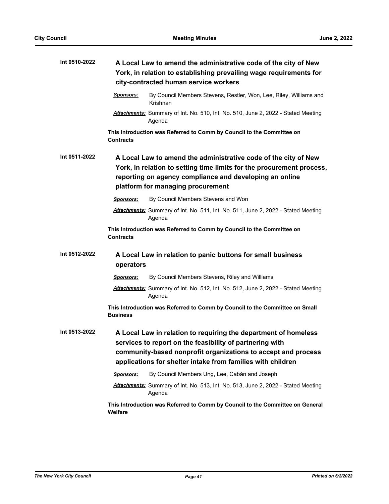| Int 0510-2022 | A Local Law to amend the administrative code of the city of New<br>York, in relation to establishing prevailing wage requirements for<br>city-contracted human service workers                                                                              |  |
|---------------|-------------------------------------------------------------------------------------------------------------------------------------------------------------------------------------------------------------------------------------------------------------|--|
|               | <b>Sponsors:</b><br>By Council Members Stevens, Restler, Won, Lee, Riley, Williams and<br>Krishnan                                                                                                                                                          |  |
|               | Attachments: Summary of Int. No. 510, Int. No. 510, June 2, 2022 - Stated Meeting<br>Agenda                                                                                                                                                                 |  |
|               | This Introduction was Referred to Comm by Council to the Committee on<br>Contracts                                                                                                                                                                          |  |
| Int 0511-2022 | A Local Law to amend the administrative code of the city of New<br>York, in relation to setting time limits for the procurement process,<br>reporting on agency compliance and developing an online<br>platform for managing procurement                    |  |
|               | By Council Members Stevens and Won<br><b>Sponsors:</b>                                                                                                                                                                                                      |  |
|               | Attachments: Summary of Int. No. 511, Int. No. 511, June 2, 2022 - Stated Meeting<br>Agenda                                                                                                                                                                 |  |
|               | This Introduction was Referred to Comm by Council to the Committee on<br><b>Contracts</b>                                                                                                                                                                   |  |
| Int 0512-2022 | A Local Law in relation to panic buttons for small business<br>operators                                                                                                                                                                                    |  |
|               | By Council Members Stevens, Riley and Williams<br><b>Sponsors:</b>                                                                                                                                                                                          |  |
|               | Attachments: Summary of Int. No. 512, Int. No. 512, June 2, 2022 - Stated Meeting<br>Agenda                                                                                                                                                                 |  |
|               | This Introduction was Referred to Comm by Council to the Committee on Small<br><b>Business</b>                                                                                                                                                              |  |
| Int 0513-2022 | A Local Law in relation to requiring the department of homeless<br>services to report on the feasibility of partnering with<br>community-based nonprofit organizations to accept and process<br>applications for shelter intake from families with children |  |
|               | By Council Members Ung, Lee, Cabán and Joseph<br>Sponsors:                                                                                                                                                                                                  |  |
|               | Attachments: Summary of Int. No. 513, Int. No. 513, June 2, 2022 - Stated Meeting<br>Agenda                                                                                                                                                                 |  |
|               | This Introduction was Referred to Comm by Council to the Committee on General<br>Welfare                                                                                                                                                                    |  |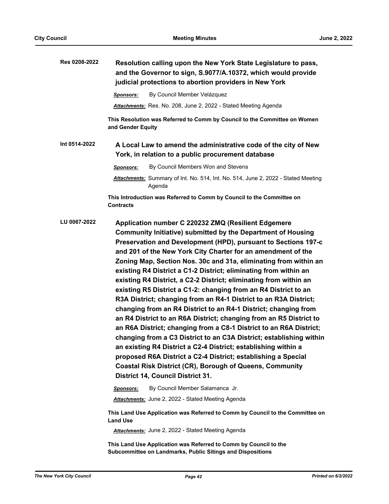| Res 0208-2022<br>Resolution calling upon the New York State Legislature to pass,<br>and the Governor to sign, S.9077/A.10372, which would provide<br>judicial protections to abortion providers in New York                                   |                                                                                                                                                                                                                                                                                                                                                                                                                                                                                                                                                                                                                                                                                                                                                                                                                                                                                                           |  |
|-----------------------------------------------------------------------------------------------------------------------------------------------------------------------------------------------------------------------------------------------|-----------------------------------------------------------------------------------------------------------------------------------------------------------------------------------------------------------------------------------------------------------------------------------------------------------------------------------------------------------------------------------------------------------------------------------------------------------------------------------------------------------------------------------------------------------------------------------------------------------------------------------------------------------------------------------------------------------------------------------------------------------------------------------------------------------------------------------------------------------------------------------------------------------|--|
| By Council Member Velázquez<br>Sponsors:                                                                                                                                                                                                      |                                                                                                                                                                                                                                                                                                                                                                                                                                                                                                                                                                                                                                                                                                                                                                                                                                                                                                           |  |
| Attachments: Res. No. 208, June 2, 2022 - Stated Meeting Agenda                                                                                                                                                                               |                                                                                                                                                                                                                                                                                                                                                                                                                                                                                                                                                                                                                                                                                                                                                                                                                                                                                                           |  |
| This Resolution was Referred to Comm by Council to the Committee on Women<br>and Gender Equity                                                                                                                                                |                                                                                                                                                                                                                                                                                                                                                                                                                                                                                                                                                                                                                                                                                                                                                                                                                                                                                                           |  |
| Int 0514-2022<br>A Local Law to amend the administrative code of the city of New<br>York, in relation to a public procurement database                                                                                                        |                                                                                                                                                                                                                                                                                                                                                                                                                                                                                                                                                                                                                                                                                                                                                                                                                                                                                                           |  |
| By Council Members Won and Stevens<br>Sponsors:                                                                                                                                                                                               |                                                                                                                                                                                                                                                                                                                                                                                                                                                                                                                                                                                                                                                                                                                                                                                                                                                                                                           |  |
| Attachments: Summary of Int. No. 514, Int. No. 514, June 2, 2022 - Stated Meeting<br>Agenda                                                                                                                                                   |                                                                                                                                                                                                                                                                                                                                                                                                                                                                                                                                                                                                                                                                                                                                                                                                                                                                                                           |  |
| This Introduction was Referred to Comm by Council to the Committee on<br><b>Contracts</b>                                                                                                                                                     |                                                                                                                                                                                                                                                                                                                                                                                                                                                                                                                                                                                                                                                                                                                                                                                                                                                                                                           |  |
| LU 0067-2022<br>Application number C 220232 ZMQ (Resilient Edgemere<br>an existing R4 District a C2-4 District; establishing within a<br>Coastal Risk District (CR), Borough of Queens, Community<br><b>District 14, Council District 31.</b> | Community Initiative) submitted by the Department of Housing<br>Preservation and Development (HPD), pursuant to Sections 197-c<br>and 201 of the New York City Charter for an amendment of the<br>Zoning Map, Section Nos. 30c and 31a, eliminating from within an<br>existing R4 District a C1-2 District; eliminating from within an<br>existing R4 District, a C2-2 District; eliminating from within an<br>existing R5 District a C1-2: changing from an R4 District to an<br>R3A District; changing from an R4-1 District to an R3A District;<br>changing from an R4 District to an R4-1 District; changing from<br>an R4 District to an R6A District; changing from an R5 District to<br>an R6A District; changing from a C8-1 District to an R6A District;<br>changing from a C3 District to an C3A District; establishing within<br>proposed R6A District a C2-4 District; establishing a Special |  |
| By Council Member Salamanca Jr.<br>Sponsors:                                                                                                                                                                                                  |                                                                                                                                                                                                                                                                                                                                                                                                                                                                                                                                                                                                                                                                                                                                                                                                                                                                                                           |  |
| Attachments: June 2, 2022 - Stated Meeting Agenda                                                                                                                                                                                             |                                                                                                                                                                                                                                                                                                                                                                                                                                                                                                                                                                                                                                                                                                                                                                                                                                                                                                           |  |

**Land Use**

*Attachments:* June 2, 2022 - Stated Meeting Agenda

**This Land Use Application was Referred to Comm by Council to the Subcommittee on Landmarks, Public Sitings and Dispositions**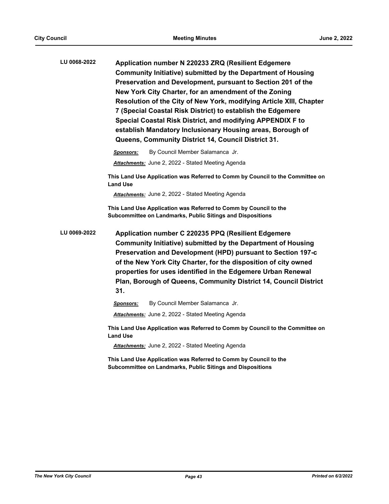**Application number N 220233 ZRQ (Resilient Edgemere Community Initiative) submitted by the Department of Housing Preservation and Development, pursuant to Section 201 of the New York City Charter, for an amendment of the Zoning Resolution of the City of New York, modifying Article XIII, Chapter 7 (Special Coastal Risk District) to establish the Edgemere Special Coastal Risk District, and modifying APPENDIX F to establish Mandatory Inclusionary Housing areas, Borough of Queens, Community District 14, Council District 31. LU 0068-2022**

*Sponsors:* By Council Member Salamanca Jr.

*Attachments:* June 2, 2022 - Stated Meeting Agenda

**This Land Use Application was Referred to Comm by Council to the Committee on Land Use**

*Attachments:* June 2, 2022 - Stated Meeting Agenda

**This Land Use Application was Referred to Comm by Council to the Subcommittee on Landmarks, Public Sitings and Dispositions**

**Application number C 220235 PPQ (Resilient Edgemere Community Initiative) submitted by the Department of Housing Preservation and Development (HPD) pursuant to Section 197-c of the New York City Charter, for the disposition of city owned properties for uses identified in the Edgemere Urban Renewal Plan, Borough of Queens, Community District 14, Council District 31. LU 0069-2022**

*Sponsors:* By Council Member Salamanca Jr.

*Attachments:* June 2, 2022 - Stated Meeting Agenda

**This Land Use Application was Referred to Comm by Council to the Committee on Land Use**

*Attachments:* June 2, 2022 - Stated Meeting Agenda

**This Land Use Application was Referred to Comm by Council to the Subcommittee on Landmarks, Public Sitings and Dispositions**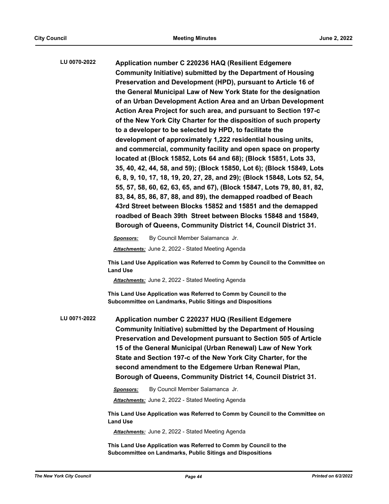| LU 0070-2022 | Application number C 220236 HAQ (Resilient Edgemere<br>Community Initiative) submitted by the Department of Housing<br>Preservation and Development (HPD), pursuant to Article 16 of<br>the General Municipal Law of New York State for the designation<br>of an Urban Development Action Area and an Urban Development<br>Action Area Project for such area, and pursuant to Section 197-c<br>of the New York City Charter for the disposition of such property<br>to a developer to be selected by HPD, to facilitate the<br>development of approximately 1,222 residential housing units,<br>and commercial, community facility and open space on property |
|--------------|---------------------------------------------------------------------------------------------------------------------------------------------------------------------------------------------------------------------------------------------------------------------------------------------------------------------------------------------------------------------------------------------------------------------------------------------------------------------------------------------------------------------------------------------------------------------------------------------------------------------------------------------------------------|
|              | located at (Block 15852, Lots 64 and 68); (Block 15851, Lots 33,<br>35, 40, 42, 44, 58, and 59); (Block 15850, Lot 6); (Block 15849, Lots<br>6, 8, 9, 10, 17, 18, 19, 20, 27, 28, and 29); (Block 15848, Lots 52, 54,<br>55, 57, 58, 60, 62, 63, 65, and 67), (Block 15847, Lots 79, 80, 81, 82,<br>83, 84, 85, 86, 87, 88, and 89), the demapped roadbed of Beach<br>43rd Street between Blocks 15852 and 15851 and the demapped<br>roadbed of Beach 39th Street between Blocks 15848 and 15849,<br>Borough of Queens, Community District 14, Council District 31.                                                                                           |
|              | By Council Member Salamanca Jr.<br>Sponsors:<br>Attachments: June 2, 2022 - Stated Meeting Agenda                                                                                                                                                                                                                                                                                                                                                                                                                                                                                                                                                             |
|              | This Land Use Application was Referred to Comm by Council to the Committee on<br><b>Land Use</b>                                                                                                                                                                                                                                                                                                                                                                                                                                                                                                                                                              |
|              | Attachments: June 2, 2022 - Stated Meeting Agenda                                                                                                                                                                                                                                                                                                                                                                                                                                                                                                                                                                                                             |
|              | This Land Use Application was Referred to Comm by Council to the<br>Subcommittee on Landmarks, Public Sitings and Dispositions                                                                                                                                                                                                                                                                                                                                                                                                                                                                                                                                |
| LU 0071-2022 | Application number C 220237 HUQ (Resilient Edgemere<br><b>Community Initiative) submitted by the Department of Housing</b><br>Preservation and Development pursuant to Section 505 of Article<br>15 of the General Municipal (Urban Renewal) Law of New York<br>State and Section 197-c of the New York City Charter, for the<br>second amendment to the Edgemere Urban Renewal Plan,<br>Borough of Queens, Community District 14, Council District 31.                                                                                                                                                                                                       |
|              | By Council Member Salamanca Jr.<br><b>Sponsors:</b>                                                                                                                                                                                                                                                                                                                                                                                                                                                                                                                                                                                                           |
|              | <b>Attachments:</b> June 2, 2022 - Stated Meeting Agenda                                                                                                                                                                                                                                                                                                                                                                                                                                                                                                                                                                                                      |
|              | This Land Use Application was Referred to Comm by Council to the Committee on<br><b>Land Use</b>                                                                                                                                                                                                                                                                                                                                                                                                                                                                                                                                                              |
|              | <b>Attachments:</b> June 2, 2022 - Stated Meeting Agenda                                                                                                                                                                                                                                                                                                                                                                                                                                                                                                                                                                                                      |

**This Land Use Application was Referred to Comm by Council to the Subcommittee on Landmarks, Public Sitings and Dispositions**